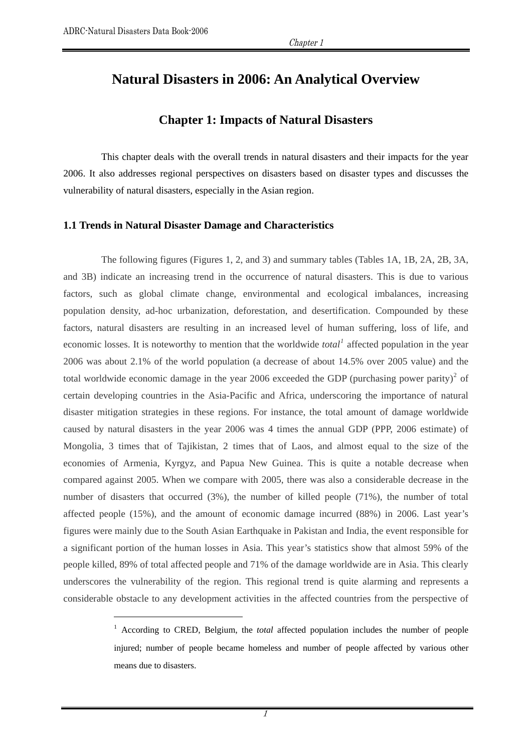$\overline{a}$ 

# **Natural Disasters in 2006: An Analytical Overview**

# **Chapter 1: Impacts of Natural Disasters**

This chapter deals with the overall trends in natural disasters and their impacts for the year 2006. It also addresses regional perspectives on disasters based on disaster types and discusses the vulnerability of natural disasters, especially in the Asian region.

#### **1.1 Trends in Natural Disaster Damage and Characteristics**

The following figures (Figures 1, 2, and 3) and summary tables (Tables 1A, 1B, 2A, 2B, 3A, and 3B) indicate an increasing trend in the occurrence of natural disasters. This is due to various factors, such as global climate change, environmental and ecological imbalances, increasing population density, ad-hoc urbanization, deforestation, and desertification. Compounded by these factors, natural disasters are resulting in an increased level of human suffering, loss of life, and economic losses. It is noteworthy to mention that the worldwide *total*<sup>[1](#page-0-0)</sup> affected population in the year 2006 was about 2.1% of the world population (a decrease of about 14.5% over 2005 value) and the total worldwide economic damage in the year [2](#page-0-1)006 exceeded the GDP (purchasing power parity)<sup>2</sup> of certain developing countries in the Asia-Pacific and Africa, underscoring the importance of natural disaster mitigation strategies in these regions. For instance, the total amount of damage worldwide caused by natural disasters in the year 2006 was 4 times the annual GDP (PPP, 2006 estimate) of Mongolia, 3 times that of Tajikistan, 2 times that of Laos, and almost equal to the size of the economies of Armenia, Kyrgyz, and Papua New Guinea. This is quite a notable decrease when compared against 2005. When we compare with 2005, there was also a considerable decrease in the number of disasters that occurred (3%), the number of killed people (71%), the number of total affected people (15%), and the amount of economic damage incurred (88%) in 2006. Last year's figures were mainly due to the South Asian Earthquake in Pakistan and India, the event responsible for a significant portion of the human losses in Asia. This year's statistics show that almost 59% of the people killed, 89% of total affected people and 71% of the damage worldwide are in Asia. This clearly underscores the vulnerability of the region. This regional trend is quite alarming and represents a considerable obstacle to any development activities in the affected countries from the perspective of

<span id="page-0-1"></span><span id="page-0-0"></span><sup>&</sup>lt;sup>1</sup> According to CRED, Belgium, the *total* affected population includes the number of people injured; number of people became homeless and number of people affected by various other means due to disasters.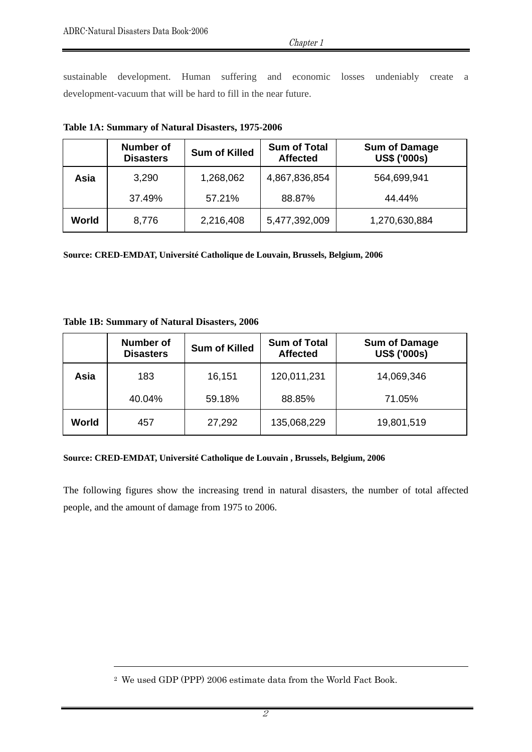Chapter 1

sustainable development. Human suffering and economic losses undeniably create a development-vacuum that will be hard to fill in the near future.

|       | Number of<br><b>Disasters</b> | <b>Sum of Killed</b> | <b>Sum of Total</b><br><b>Affected</b> | <b>Sum of Damage</b><br><b>US\$ ('000s)</b> |
|-------|-------------------------------|----------------------|----------------------------------------|---------------------------------------------|
| Asia  | 3,290                         | 1,268,062            | 4,867,836,854                          | 564,699,941                                 |
|       | 37.49%                        | 57.21%               | 88.87%                                 | 44.44%                                      |
| World | 8,776                         | 2,216,408            | 5,477,392,009                          | 1,270,630,884                               |

**Table 1A: Summary of Natural Disasters, 1975-2006** 

**Source: CRED-EMDAT, Université Catholique de Louvain, Brussels, Belgium, 2006** 

#### **Table 1B: Summary of Natural Disasters, 2006**

 $\overline{a}$ 

|       | Number of<br><b>Disasters</b> | <b>Sum of Killed</b> | <b>Sum of Total</b><br><b>Affected</b> | <b>Sum of Damage</b><br><b>US\$ ('000s)</b> |
|-------|-------------------------------|----------------------|----------------------------------------|---------------------------------------------|
| Asia  | 183                           | 16,151               | 120,011,231                            | 14,069,346                                  |
|       | 40.04%                        | 59.18%               | 88.85%                                 | 71.05%                                      |
| World | 457                           | 27,292               | 135,068,229                            | 19,801,519                                  |

#### **Source: CRED-EMDAT, Université Catholique de Louvain , Brussels, Belgium, 2006**

The following figures show the increasing trend in natural disasters, the number of total affected people, and the amount of damage from 1975 to 2006.

<sup>2</sup> We used GDP (PPP) 2006 estimate data from the World Fact Book.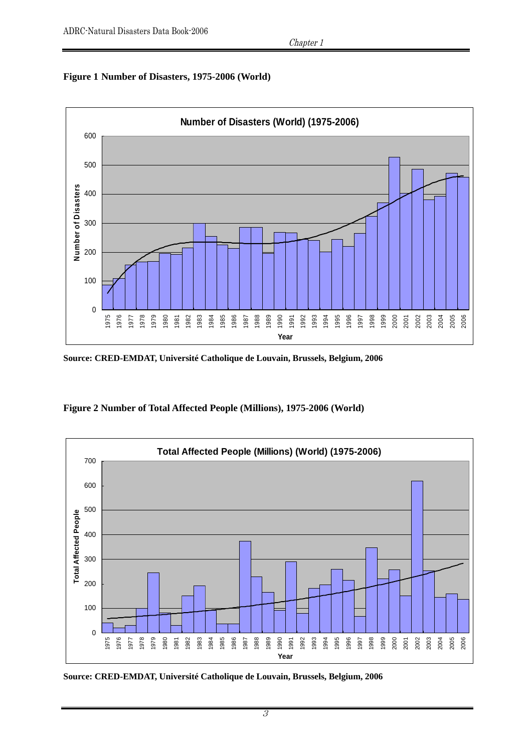#### **Figure 1 Number of Disasters, 1975-2006 (World)**



**Source: CRED-EMDAT, Université Catholique de Louvain, Brussels, Belgium, 2006** 





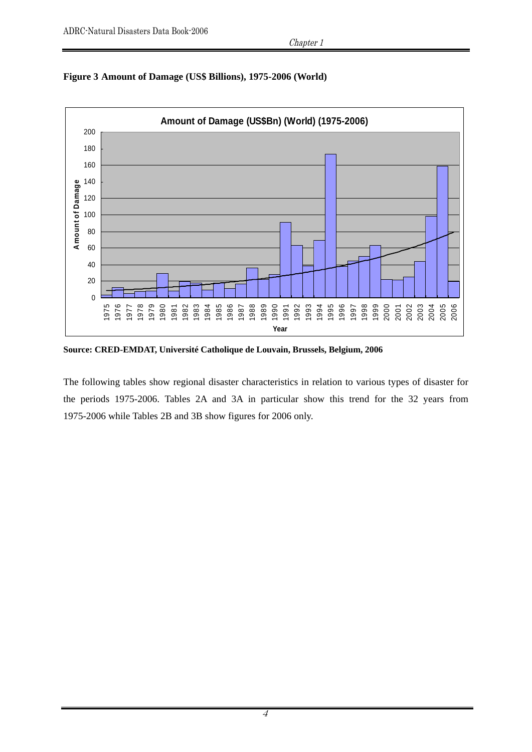



**Source: CRED-EMDAT, Université Catholique de Louvain, Brussels, Belgium, 2006** 

The following tables show regional disaster characteristics in relation to various types of disaster for the periods 1975-2006. Tables 2A and 3A in particular show this trend for the 32 years from 1975-2006 while Tables 2B and 3B show figures for 2006 only.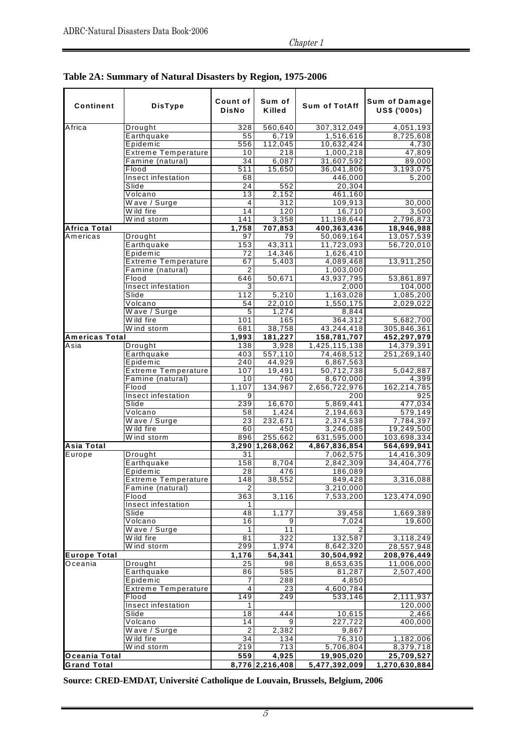| Continent           | <b>DisType</b>             | Count of<br><b>DisNo</b> | Sum of<br>Killed | <b>Sum of TotAff</b> | Sum of Damage<br><b>US\$ ('000s)</b> |
|---------------------|----------------------------|--------------------------|------------------|----------------------|--------------------------------------|
| Africa              | Drought                    | 328                      | 560,640          | 307,312,049          | 4,051,193                            |
|                     | Earthquake                 | 55                       | 6,719            | 1,516,616            | 8,725,608                            |
|                     | Epidemic                   | 556                      | 112,045          | 10,632,424           | 4,730                                |
|                     | <b>Extreme Temperature</b> | 10                       | 218              | 1,000,218            | 47,809                               |
|                     | Famine (natural)           | 34                       | 6,087            | 31,607,592           | 89,000                               |
|                     | Flood                      | 511                      | 15,650           | 36,041,806           | 3,193,075                            |
|                     | Insect infestation         | 68                       |                  | 446,000              | 5,200                                |
|                     | Slide                      | 24                       | 552              | 20,304               |                                      |
|                     | Volcano                    | $\overline{13}$          | 2,152            | 461,160              |                                      |
|                     | Wave / Surge               | 4                        | 312              | 109,913              | 30,000                               |
|                     | Wild fire                  | 14                       | 120              | 16,710               | 3,500                                |
|                     | Wind storm                 | 141                      | 3,358            | 11,198,644           | 2,796,873                            |
| <b>Africa Total</b> |                            | 1,758                    | 707,853          | 400,363,436          | 18,946,988                           |
| Americas            | Drought                    | 97                       | 79               | 50,069,164           | 13,057,539                           |
|                     | Earthquake                 | 153                      | 43,311           | 11,723,093           | 56,720,010                           |
|                     | Epidemic                   | 72                       | 14,346           | 1,626,410            |                                      |
|                     | <b>Extreme Temperature</b> | 67                       | 5,403            | 4,089,468            | 13,911,250                           |
|                     | Famine (natural)<br>Flood  | $\overline{2}$           |                  | 1,003,000            |                                      |
|                     | Insect infestation         | 646<br>3                 | 50,671           | 43,937,795<br>2,000  | 53,861,897                           |
|                     | Slide                      | 112                      | 5,210            |                      | 104,000                              |
|                     | Volcano                    | 54                       | 22,010           | 1,163,028            | 1,085,200                            |
|                     | Wave / Surge               | 5                        | 1.274            | 1,550,175<br>8,844   | 2,029,022                            |
|                     | W ild fire                 | 101                      | 165              | 364,312              | 5,682,700                            |
|                     | Wind storm                 | 681                      | 38,758           | 43,244,418           | 305,846,361                          |
| Americas Total      |                            | 1,993                    | 181,227          | 158,781,707          | 452,297,979                          |
| Asia                | Drought                    | 138                      | 3,928            | 1,425,115,138        | 14,379,391                           |
|                     | Earthquake                 | 403                      | 557,110          | 74,468,512           | 251,269,140                          |
|                     | Epidemic                   | 240                      | 44,929           | 6,867,563            |                                      |
|                     | <b>Extreme Temperature</b> | 107                      | 19,491           | 50,712,738           | 5,042,887                            |
|                     | Famine (natural)           | 10                       | 760              | 8,670,000            | 4,399                                |
|                     | Flood                      | 1,107                    | 134,967          | 2,656,722,976        | 162,214,785                          |
|                     | Insect infestation         | 9                        |                  | 200                  | 925                                  |
|                     | Slide                      | 239                      | 16,670           | 5,869,441            | 477,034                              |
|                     | Volcano                    | 58                       | 1,424            | 2,194,663            | 579,149                              |
|                     | Wave / Surge               | 23                       | 232,671          | 2,374,538            | 7,784,397                            |
|                     | Wild fire                  | 60                       | 450              | 3,246,085            | 19,249,500                           |
|                     | Wind storm                 | 896                      | 255,662          | 631,595,000          | 103,698,334                          |
| <b>Asia Total</b>   |                            |                          | 3,290 1,268,062  | 4,867,836,854        | 564,699,941                          |
| Europe              | Drought                    | 31                       |                  | 7,062,575            | 14,416,309                           |
|                     | Earthquake                 | 158                      | 8,704            | 2.842.309            | 34,404,776                           |
|                     | Epidemic                   | 28                       | 476              | 186,089              |                                      |
|                     | <b>Extreme Temperature</b> | 148                      | 38,552           | 849,428              | 3,316,088                            |
|                     | Famine (natural)           | $\overline{2}$           |                  | 3,210,000            |                                      |
|                     | Flood                      | 363                      | 3,116            | 7,533,200            | 123,474,090                          |
|                     | Insect infestation         | 1                        |                  |                      |                                      |
|                     | Slide                      | 48                       | 1,177            | 39,458               | 1,669,389                            |
|                     | Volcano                    | 16                       | $\overline{9}$   | 7,024                | 19,600                               |
|                     | Wave / Surge               | 1                        | 11               | 2                    |                                      |
|                     | W ild fire                 | 81                       | 322              | 132,587              | 3,118,249                            |
|                     | Wind storm                 | 299                      | 1,974            | 8,642,320            | 28,557,948                           |
| <b>Europe Total</b> |                            | 1,176                    | 54,341           | 30,504,992           | 208,976,449                          |
| Oceania             | Drought                    | 25                       | 98               | 8,653,635            | 11,006,000                           |
|                     | Earthquake                 | 86                       | 585              | 81,287               | 2,507,400                            |
|                     | Epidemic                   | 7                        | 288              | 4,850                |                                      |
|                     | <b>Extreme Temperature</b> | 4                        | 23               | 4,600,784            |                                      |
|                     | Flood                      | 149                      | 249              | 533,146              | 2.111.937                            |
|                     | Insect infestation         | 1                        |                  |                      | 120,000                              |
|                     | Slide                      | 18                       | 444              | 10,615               | 2,466                                |
|                     | Volcano                    | 14                       | 9                | 227,722              | 400,000                              |
|                     | Wave / Surge               | $\overline{2}$           | 2,382            | 9,867                |                                      |
|                     | Wild fire                  | 34                       | 134              | 76,310               | 1,182,006                            |
|                     | Wind storm                 | 219                      | 713              | 5,706,804            | 8,379,718                            |
| Oceania Total       |                            | 559                      | 4,925            | 19,905,020           | 25,709,527                           |
| <b>Grand Total</b>  |                            |                          | 8,776 2,216,408  | 5,477,392,009        | 1,270,630,884                        |

**Table 2A: Summary of Natural Disasters by Region, 1975-2006**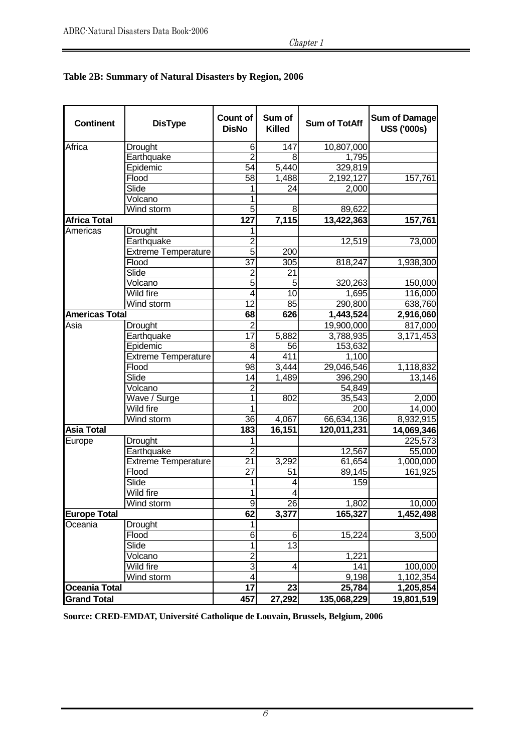| <b>Continent</b>      | <b>DisType</b>             | Count of<br><b>DisNo</b> | Sum of<br><b>Killed</b> | <b>Sum of TotAff</b> | <b>Sum of Damage</b><br><b>US\$ ('000s)</b> |
|-----------------------|----------------------------|--------------------------|-------------------------|----------------------|---------------------------------------------|
| Africa                | Drought                    | 6                        | 147                     | 10,807,000           |                                             |
|                       | Earthquake                 |                          |                         | 1,795                |                                             |
|                       | Epidemic                   | 54                       | 5,440                   | 329,819              |                                             |
|                       | Flood                      | 58                       | 1,488                   | 2,192,127            | 157,761                                     |
|                       | Slide                      |                          | 24                      | 2,000                |                                             |
|                       | Volcano                    |                          |                         |                      |                                             |
|                       | Wind storm                 | 5                        | 8                       | 89,622               |                                             |
| <b>Africa Total</b>   |                            | 127                      | 7,115                   | 13,422,363           | 157,761                                     |
| Americas              | <b>Drought</b>             | 1                        |                         |                      |                                             |
|                       | Earthquake                 | $\overline{2}$           |                         | 12,519               | 73,000                                      |
|                       | <b>Extreme Temperature</b> | 5                        | 200                     |                      |                                             |
|                       | Flood                      | 37                       | 305                     | 818,247              | 1,938,300                                   |
|                       | Slide                      | $\overline{2}$           | 21                      |                      |                                             |
|                       | Volcano                    | 5                        | 5                       | 320,263              | 150,000                                     |
|                       | Wild fire                  | 4                        | 10                      | 1,695                | 116,000                                     |
|                       | Wind storm                 | 12                       | 85                      | 290,800              | 638,760                                     |
| <b>Americas Total</b> |                            | 68                       | 626                     | 1,443,524            | 2,916,060                                   |
| Asia                  | Drought                    | $\overline{2}$           |                         | 19,900,000           | 817,000                                     |
|                       | Earthquake                 | 17                       | 5,882                   | 3,788,935            | 3,171,453                                   |
|                       | Epidemic                   | 8                        | 56                      | 153,632              |                                             |
|                       | <b>Extreme Temperature</b> | 4                        | 411                     | 1,100                |                                             |
|                       | Flood                      | 98                       | 3,444                   | 29,046,546           | 1,118,832                                   |
|                       | Slide                      | 14                       | 1,489                   | 396,290              | 13,146                                      |
|                       | Volcano                    | 2                        |                         | 54,849               |                                             |
|                       | Wave / Surge               |                          | 802                     | 35,543               | 2,000                                       |
|                       | Wild fire                  |                          |                         | 200                  | 14,000                                      |
|                       | Wind storm                 | 36                       | 4,067                   | 66,634,136           | 8,932,915                                   |
| <b>Asia Total</b>     |                            | $\overline{183}$         | 16,151                  | 120,011,231          | 14,069,346                                  |
| Europe                | Drought                    | 1                        |                         |                      | 225,573                                     |
|                       | Earthquake                 | $\overline{2}$           |                         | 12,567               | 55,000                                      |
|                       | <b>Extreme Temperature</b> | $\overline{21}$          | 3,292                   | 61,654               | 1,000,000                                   |
|                       | Flood                      | $\overline{27}$          | 51                      | 89,145               | 161,925                                     |
|                       | Slide                      |                          | 4                       | 159                  |                                             |
|                       | Wild fire                  | 1                        | $\overline{\mathbf{4}}$ |                      |                                             |
|                       | Wind storm                 | 9                        | 26                      | 1,802                | 10,000                                      |
| <b>Europe Total</b>   |                            | 62                       | 3,377                   | 165,327              | 1,452,498                                   |
| Oceania               | Drought                    | 1                        |                         |                      |                                             |
|                       | Flood                      | $\overline{6}$           | 6                       | 15,224               | 3,500                                       |
|                       | Slide                      | 1                        | $\overline{13}$         |                      |                                             |
|                       | Volcano                    | $\overline{c}$           |                         | 1,221                |                                             |
|                       | Wild fire                  | $\overline{3}$           | 4                       | 141                  | 100,000                                     |
|                       | Wind storm                 | 4                        |                         | 9,198                | 1,102,354                                   |
| <b>Oceania Total</b>  |                            | 17                       | 23                      | 25,784               | 1,205,854                                   |
|                       |                            |                          |                         |                      |                                             |
| <b>Grand Total</b>    |                            | 457                      | 27,292                  | 135,068,229          | 19,801,519                                  |

## **Table 2B: Summary of Natural Disasters by Region, 2006**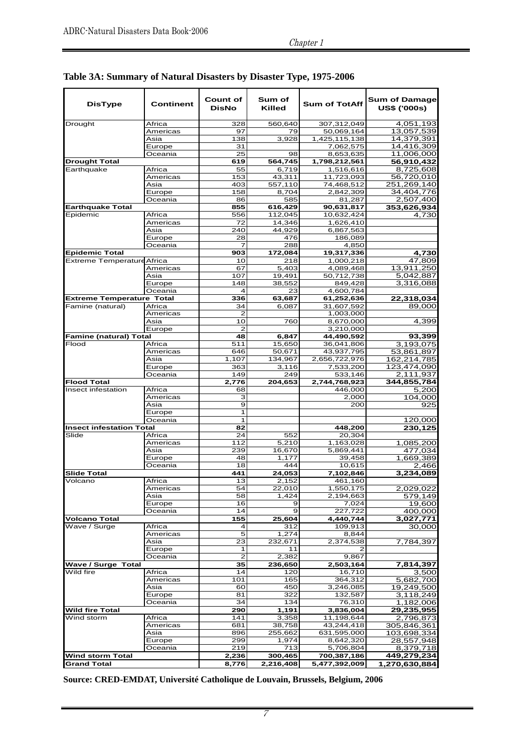| <b>DisType</b>                    | Continent         | <b>Count of</b><br><b>DisNo</b> | Sum of<br>Killed | <b>Sum of TotAff</b>    | <b>Sum of Damage</b><br><b>US\$ ('000s)</b> |
|-----------------------------------|-------------------|---------------------------------|------------------|-------------------------|---------------------------------------------|
| Drought                           | Africa            | 328                             | 560,640          | 307,312,049             | $\overline{4}$ ,051,193                     |
|                                   | Americas          | 97                              | 79               | 50,069,164              | 13,057,539                                  |
|                                   | Asia              | 138                             | 3,928            | 1,425,115,138           | 14,379,391                                  |
|                                   | Europe            | 31                              |                  | 7,062,575               | 14,416,309                                  |
|                                   | Oceania           | 25                              | 98               | 8,653,635               | 11,006,000                                  |
| <b>Drought Total</b>              |                   | 619                             | 564,745          | 1,798,212,561           | 56,910,432                                  |
| Earthquake                        | Africa            | 55                              | 6,719            | 1,516,616               | 8,725,608                                   |
|                                   | Americas<br>Asia  | 153                             | 43,311           | 11,723,093              | 56,720,010                                  |
|                                   |                   | 403<br>158                      | 557,110<br>8,704 | 74,468,512              | 251,269,140<br>34,404,776                   |
|                                   | Europe<br>Oceania | 86                              | 585              | 2,842,309<br>81,287     | 2,507,400                                   |
| <b>Earthquake Total</b>           |                   | 855                             | 616,429          | 90,631,817              | 353,626,934                                 |
| Epidemic                          | Africa            | 556                             | 112,045          | 10,632,424              | 4,730                                       |
|                                   | Americas          | 72                              | 14,346           | 1,626,410               |                                             |
|                                   | Asia              | 240                             | 44,929           | 6,867,563               |                                             |
|                                   | Europe            | 28                              | 476              | 186,089                 |                                             |
|                                   | Oceania           |                                 | 288              | 4,850                   |                                             |
| <b>Epidemic Total</b>             |                   | 903                             | 172,084          | 19,317,336              | 4,730                                       |
| <b>Extreme Temperature Africa</b> |                   | 10                              | 218              | 1,000,218               | 47,809                                      |
|                                   | Americas          | 67                              | 5,403            | 4,089,468               | 13,911,250                                  |
|                                   | Asia              | 107                             | 19,491           | 50,712,738              | 5,042,887                                   |
|                                   | Europe            | 148                             | 38.552           | 849,428                 | 3,316,088                                   |
|                                   | Oceania           | 4                               | 23               | 4,600,784               |                                             |
| <b>Extreme Temperature Total</b>  |                   | 336                             | 63,687           | 61,252,636              | 22,318,034                                  |
| Famine (natural)                  | Africa            | 34                              | 6,087            | 31,607,592              | 89,000                                      |
|                                   | Americas          | 2                               |                  | 1,003,000               |                                             |
|                                   | Asia              | 10<br>$\overline{2}$            | 760              | 8,670,000               | 4,399                                       |
| <b>Famine (natural) Total</b>     | Europe            | 48                              | 6,847            | 3,210,000<br>44,490,592 | 93,399                                      |
| Flood                             | Africa            | 511                             | 15,650           | 36,041,806              | 3,193,075                                   |
|                                   | Americas          | 646                             | 50,671           | 43,937,795              | 53,861,897                                  |
|                                   | Asia              | 1,107                           | 134,967          | 2,656,722,976           | 162,214,785                                 |
|                                   | Europe            | 363                             | 3,116            | 7,533,200               | 123,474,090                                 |
|                                   | Oceania           | 149                             | 249              | 533,146                 | 2,111,937                                   |
| <b>Flood Total</b>                |                   | 2,776                           | 204,653          | 2,744,768,923           | 344,855,784                                 |
| Insect infestation                | Africa            | 68                              |                  | 446,000                 | 5,200                                       |
|                                   | Americas          | 3                               |                  | 2,000                   | 104,000                                     |
|                                   | Asia              | 9                               |                  | 200                     | 925                                         |
|                                   | Europe            | 1                               |                  |                         |                                             |
|                                   | Oceania           | 1                               |                  |                         | 120,000                                     |
| <b>Insect infestation Total</b>   |                   | 82                              |                  | 448,200                 | 230,125                                     |
| Slide                             | Africa            | 24                              | 552              | 20,304                  |                                             |
|                                   | Americas          | 112                             | 5,210            | 1,163,028               | 1,085,200                                   |
|                                   | Asia              | 239                             | 16,670           | 5,869,441               | 477,034                                     |
|                                   | Europe<br>Oceania | 48<br>18                        | 1,177<br>444     | 39,458<br>10,615        | 1,669,389                                   |
| <b>Slide Total</b>                |                   | 441                             | 24,053           | 7,102,846               | 2,466<br>3,234,089                          |
| Volcano                           | Africa            | 13                              | 2,152            | 461,160                 |                                             |
|                                   | Americas          | 54                              | 22,010           | 1,550,175               | 2,029,022                                   |
|                                   | Asia              | 58                              | 1,424            | 2,194,663               | 579,149                                     |
|                                   | Europe            | 16                              | 9                | 7,024                   | 19,600                                      |
|                                   | Oceania           | 14                              | $\mathbf{9}$     | 227,722                 | 400,000                                     |
| <b>Volcano Total</b>              |                   | 155                             | 25,604           | 4,440,744               | 3,027,771                                   |
| Wave / Surge                      | Africa            | 4                               | 312              | 109,913                 | 30,000                                      |
|                                   | Americas          | 5                               | 1,274            | 8,844                   |                                             |
|                                   | Asia              | 23                              | 232,671          | 2,374,538               | 7,784,397                                   |
|                                   | Europe            | 1                               | 11               | 2                       |                                             |
|                                   | Oceania           | $\overline{2}$                  | 2,382            | 9,867                   |                                             |
| <b>Wave / Surge Total</b>         |                   | 35                              | 236,650          | 2,503,164               | 7,814,397                                   |
| Wild fire                         | Africa            | 14                              | 120              | 16,710                  | 3,500                                       |
|                                   | Americas          | 101<br>60                       | 165<br>450       | 364,312                 | 5,682,700<br>19,249,500                     |
|                                   | Asia<br>Europe    | 81                              | 322              | 3,246,085<br>132,587    | 3,118,249                                   |
|                                   | Oceania           | 34                              | 134              | 76,310                  | 1,182,006                                   |
| <b>Wild fire Total</b>            |                   | 290                             | 1,191            | 3,836,004               | 29,235,955                                  |
| Wind storm                        | Africa            | 141                             | 3,358            | 11,198,644              | 2,796,873                                   |
|                                   | Americas          | 681                             | 38,758           | 43,244,418              | 305,846,361                                 |
|                                   | Asia              | 896                             | 255,662          | 631,595,000             | 103,698,334                                 |
|                                   | Europe            | 299                             | 1,974            | 8,642,320               | 28,557,948                                  |
|                                   | Oceania           | 219                             | 713              | 5,706,804               | 8,379,718                                   |
| <b>Wind storm Total</b>           |                   | 2,236                           | 300,465          | 700,387,186             | 449,279,234                                 |
| <b>Grand Total</b>                |                   | 8,776                           | 2,216,408        | 5,477,392,009           | 1,270,630,884                               |

# **Table 3A: Summary of Natural Disasters by Disaster Type, 1975-2006**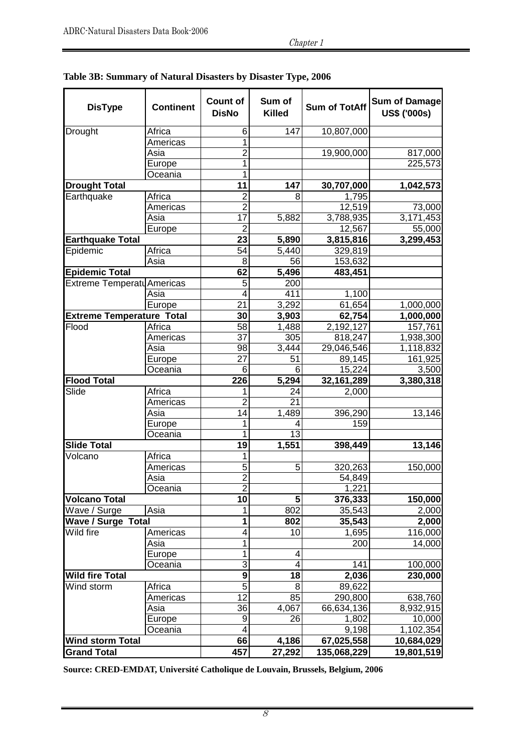| <b>DisType</b>                   | <b>Continent</b> | <b>Count of</b><br><b>DisNo</b> | Sum of<br><b>Killed</b> | <b>Sum of TotAff</b> | <b>Sum of Damage</b><br><b>US\$ ('000s)</b> |
|----------------------------------|------------------|---------------------------------|-------------------------|----------------------|---------------------------------------------|
| <b>Drought</b>                   | Africa           | 6                               | 147                     | 10,807,000           |                                             |
|                                  | Americas         | 1                               |                         |                      |                                             |
|                                  | Asia             | $\overline{2}$                  |                         | 19,900,000           | 817,000                                     |
|                                  | Europe           | 1                               |                         |                      | 225,573                                     |
|                                  | Oceania          | 1                               |                         |                      |                                             |
| <b>Drought Total</b>             |                  | 11                              | 147                     | 30,707,000           | 1,042,573                                   |
| Earthquake                       | Africa           | $\overline{2}$                  | 8                       | 1,795                |                                             |
|                                  | Americas         | $\overline{2}$                  |                         | 12,519               | 73,000                                      |
|                                  | Asia             | 17                              | 5,882                   | 3,788,935            | 3,171,453                                   |
|                                  | Europe           | $\overline{2}$                  |                         | 12,567               | 55,000                                      |
| <b>Earthquake Total</b>          |                  | 23                              | 5,890                   | 3,815,816            | 3,299,453                                   |
| Epidemic                         | Africa           | 54                              | 5,440                   | 329,819              |                                             |
|                                  | Asia             | 8                               | 56                      | 153,632              |                                             |
| <b>Epidemic Total</b>            |                  | 62                              | 5,496                   | 483,451              |                                             |
| Extreme Temperatu Americas       |                  | 5                               | 200                     |                      |                                             |
|                                  | Asia             | 4                               | 411                     | 1,100                |                                             |
|                                  | Europe           | 21                              | 3,292                   | 61,654               | 1,000,000                                   |
| <b>Extreme Temperature Total</b> |                  | 30                              | 3,903                   | 62,754               | 1,000,000                                   |
| Flood                            | Africa           | $\overline{58}$                 | 1,488                   | 2,192,127            | 157,761                                     |
|                                  | Americas         | 37                              | 305                     | 818,247              | 1,938,300                                   |
|                                  | Asia             | 98                              | 3,444                   | 29,046,546           | 1,118,832                                   |
|                                  | Europe           | 27                              | 51                      | 89,145               | 161,925                                     |
|                                  | Oceania          | 6                               | 6                       | 15,224               | 3,500                                       |
| <b>Flood Total</b>               |                  | $\overline{226}$                | 5,294                   | 32,161,289           | 3,380,318                                   |
| Slide                            | Africa           | 1                               | 24                      | 2,000                |                                             |
|                                  | Americas         | $\overline{2}$                  | 21                      |                      |                                             |
|                                  | Asia             | 14                              | 1,489                   | 396,290              | 13,146                                      |
|                                  | Europe           | 1                               |                         | 159                  |                                             |
|                                  | Oceania          | 1                               | 13                      |                      |                                             |
| <b>Slide Total</b>               |                  | 19                              | 1,551                   | 398,449              | 13,146                                      |
| Volcano                          | Africa           | 1                               |                         |                      |                                             |
|                                  | Americas         | 5                               | 5 <sup>1</sup>          | 320,263              | 150,000                                     |
|                                  | Asia             | $\overline{2}$                  |                         | 54,849               |                                             |
|                                  | Oceania          | 2                               |                         | 1,221                |                                             |
| <b>Volcano Total</b>             |                  | 10                              | 5 <sup>1</sup>          | 376,333              | 150,000                                     |
| Wave / Surge                     | Asia             | 1                               | 802                     | 35,543               | 2,000                                       |
| <b>Wave / Surge Total</b>        |                  | 1                               | 802                     | 35,543               | 2,000                                       |
| Wild fire                        | Americas         | 4                               | 10                      | 1,695                | 116,000                                     |
|                                  | Asia             | 1                               |                         | 200                  | 14,000                                      |
|                                  | Europe           | 1                               | 4                       |                      |                                             |
|                                  | Oceania          | 3                               | 4                       | 141                  | 100,000                                     |
| <b>Wild fire Total</b>           |                  | $\overline{9}$                  | 18                      | 2,036                | 230,000                                     |
| Wind storm                       | Africa           | $\overline{5}$                  | 8                       | 89,622               |                                             |
|                                  | Americas         | 12                              | 85                      | 290,800              | 638,760                                     |
|                                  | Asia             | 36                              | 4,067                   | 66,634,136           | 8,932,915                                   |
|                                  | Europe           | $\boldsymbol{9}$                | 26                      | 1,802                | 10,000                                      |
|                                  | Oceania          | 4                               |                         | 9,198                | 1,102,354                                   |
| <b>Wind storm Total</b>          |                  | 66                              | 4,186                   | 67,025,558           | 10,684,029                                  |
| <b>Grand Total</b>               |                  | 457                             | 27,292                  | 135,068,229          | 19,801,519                                  |

# **Table 3B: Summary of Natural Disasters by Disaster Type, 2006**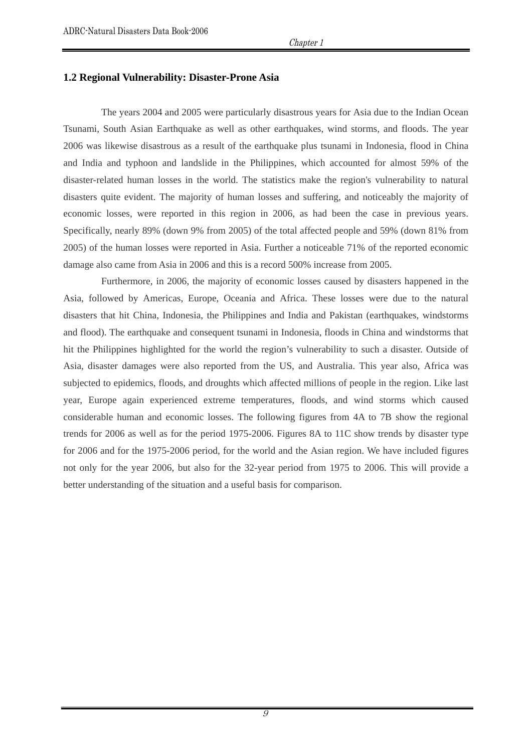#### **1.2 Regional Vulnerability: Disaster-Prone Asia**

The years 2004 and 2005 were particularly disastrous years for Asia due to the Indian Ocean Tsunami, South Asian Earthquake as well as other earthquakes, wind storms, and floods. The year 2006 was likewise disastrous as a result of the earthquake plus tsunami in Indonesia, flood in China and India and typhoon and landslide in the Philippines, which accounted for almost 59% of the disaster-related human losses in the world. The statistics make the region's vulnerability to natural disasters quite evident. The majority of human losses and suffering, and noticeably the majority of economic losses, were reported in this region in 2006, as had been the case in previous years. Specifically, nearly 89% (down 9% from 2005) of the total affected people and 59% (down 81% from 2005) of the human losses were reported in Asia. Further a noticeable 71% of the reported economic damage also came from Asia in 2006 and this is a record 500% increase from 2005.

 Furthermore, in 2006, the majority of economic losses caused by disasters happened in the Asia, followed by Americas, Europe, Oceania and Africa. These losses were due to the natural disasters that hit China, Indonesia, the Philippines and India and Pakistan (earthquakes, windstorms and flood). The earthquake and consequent tsunami in Indonesia, floods in China and windstorms that hit the Philippines highlighted for the world the region's vulnerability to such a disaster. Outside of Asia, disaster damages were also reported from the US, and Australia. This year also, Africa was subjected to epidemics, floods, and droughts which affected millions of people in the region. Like last year, Europe again experienced extreme temperatures, floods, and wind storms which caused considerable human and economic losses. The following figures from 4A to 7B show the regional trends for 2006 as well as for the period 1975-2006. Figures 8A to 11C show trends by disaster type for 2006 and for the 1975-2006 period, for the world and the Asian region. We have included figures not only for the year 2006, but also for the 32-year period from 1975 to 2006. This will provide a better understanding of the situation and a useful basis for comparison.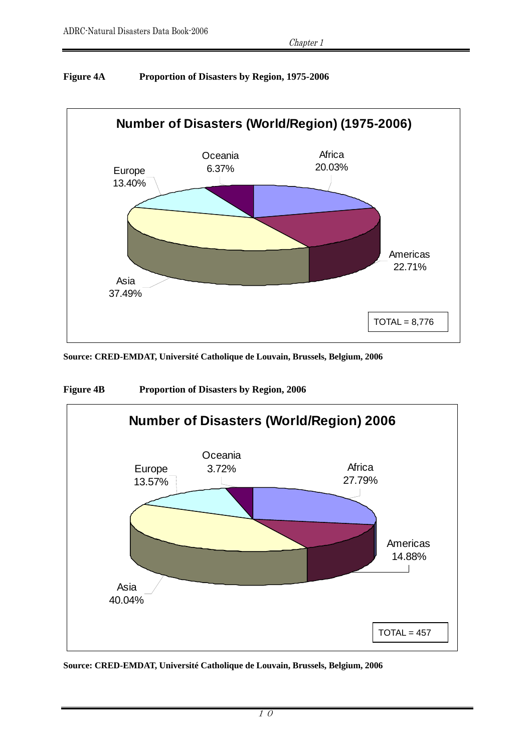# **Figure 4A Proportion of Disasters by Region, 1975-2006**



**Source: CRED-EMDAT, Université Catholique de Louvain, Brussels, Belgium, 2006** 



**Figure 4B Proportion of Disasters by Region, 2006**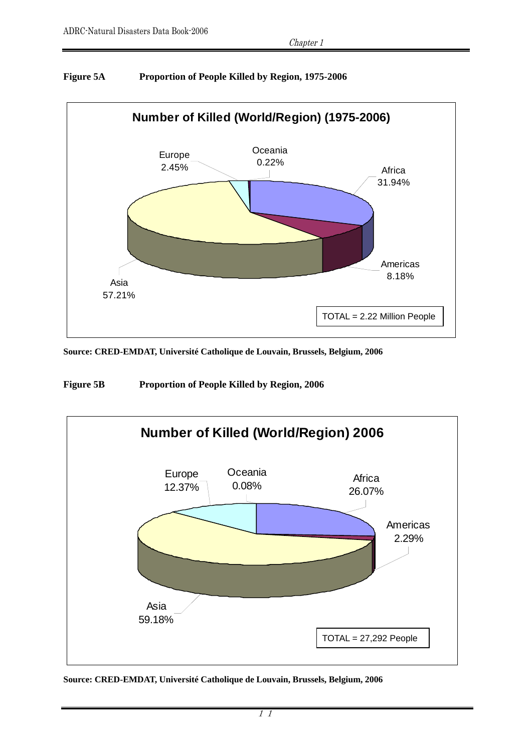

# **Figure 5A Proportion of People Killed by Region, 1975-2006**

**Source: CRED-EMDAT, Université Catholique de Louvain, Brussels, Belgium, 2006** 

**Figure 5B Proportion of People Killed by Region, 2006** 

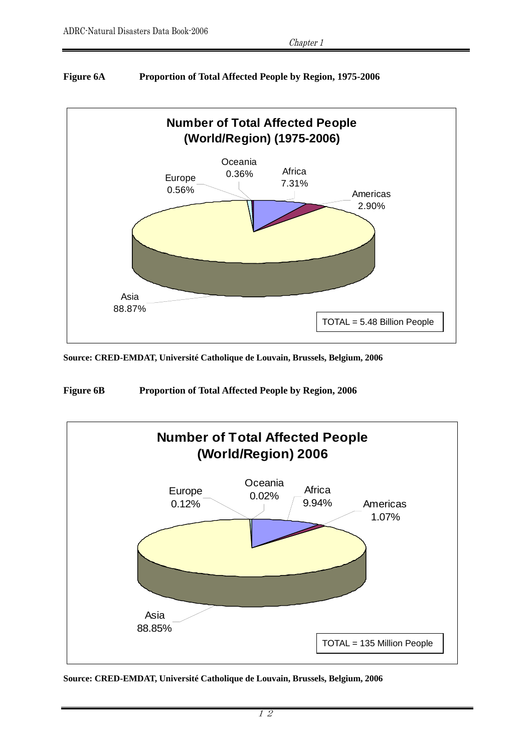# **Figure 6A Proportion of Total Affected People by Region, 1975-2006**



**Source: CRED-EMDAT, Université Catholique de Louvain, Brussels, Belgium, 2006** 

**Figure 6B Proportion of Total Affected People by Region, 2006** 

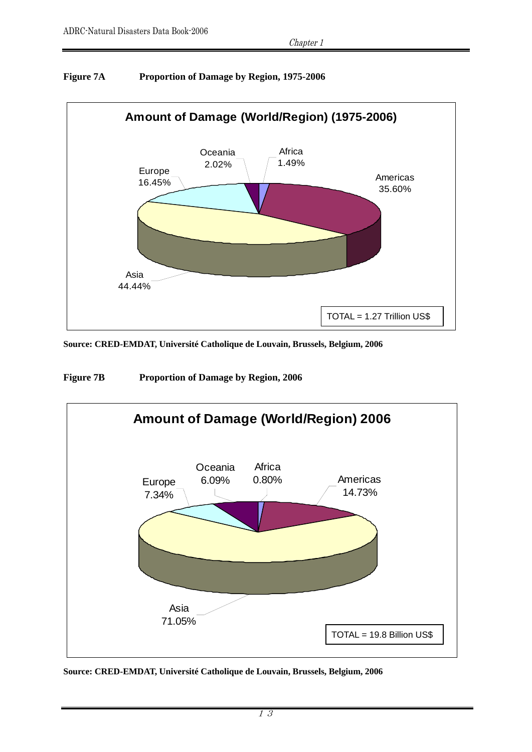

# **Figure 7A Proportion of Damage by Region, 1975-2006**

**Source: CRED-EMDAT, Université Catholique de Louvain, Brussels, Belgium, 2006** 

**Figure 7B Proportion of Damage by Region, 2006** 

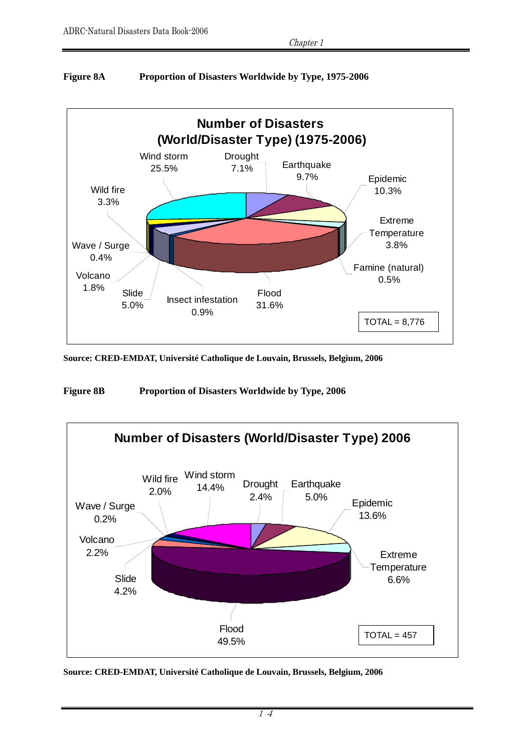

# **Figure 8A Proportion of Disasters Worldwide by Type, 1975-2006**

**Source: CRED-EMDAT, Université Catholique de Louvain, Brussels, Belgium, 2006** 

**Figure 8B Proportion of Disasters Worldwide by Type, 2006** 

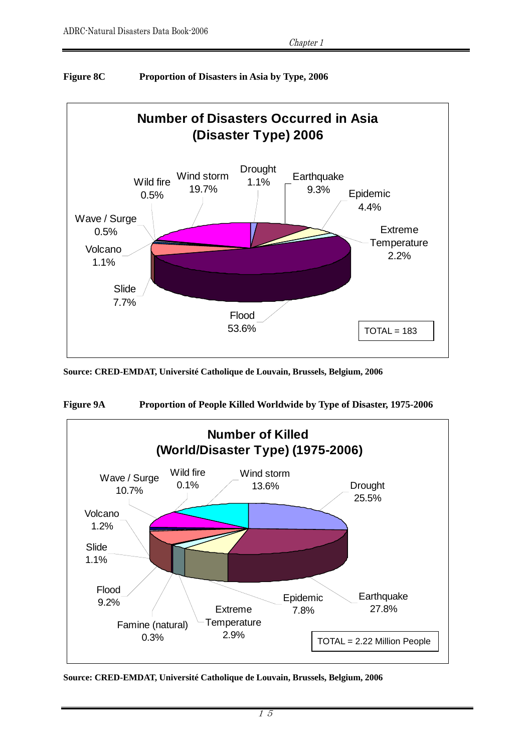

# **Figure 8C Proportion of Disasters in Asia by Type, 2006**

**Source: CRED-EMDAT, Université Catholique de Louvain, Brussels, Belgium, 2006** 



**Figure 9A Proportion of People Killed Worldwide by Type of Disaster, 1975-2006** 

**Source: CRED-EMDAT, Université Catholique de Louvain, Brussels, Belgium, 2006**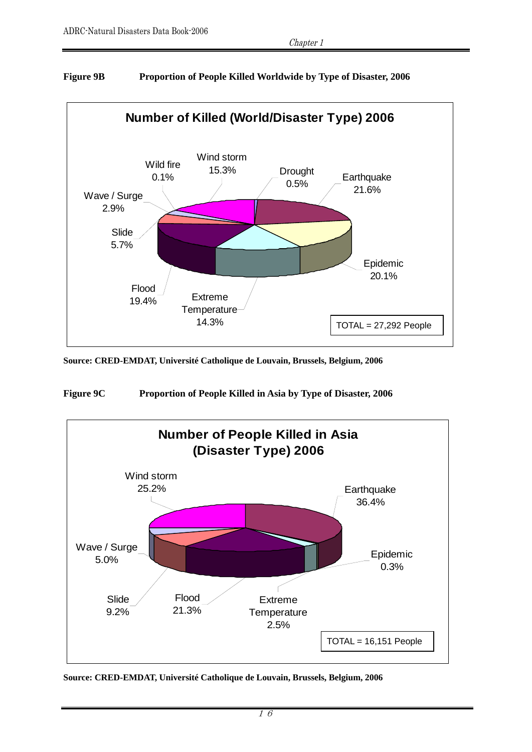

# **Figure 9B Proportion of People Killed Worldwide by Type of Disaster, 2006**

**Source: CRED-EMDAT, Université Catholique de Louvain, Brussels, Belgium, 2006** 

**Figure 9C Proportion of People Killed in Asia by Type of Disaster, 2006** 

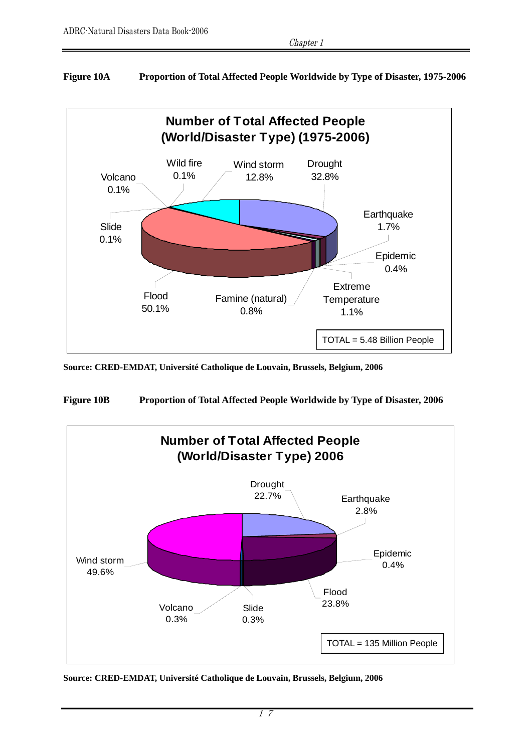# **Figure 10A Proportion of Total Affected People Worldwide by Type of Disaster, 1975-2006**



**Source: CRED-EMDAT, Université Catholique de Louvain, Brussels, Belgium, 2006** 

**Figure 10B Proportion of Total Affected People Worldwide by Type of Disaster, 2006** 

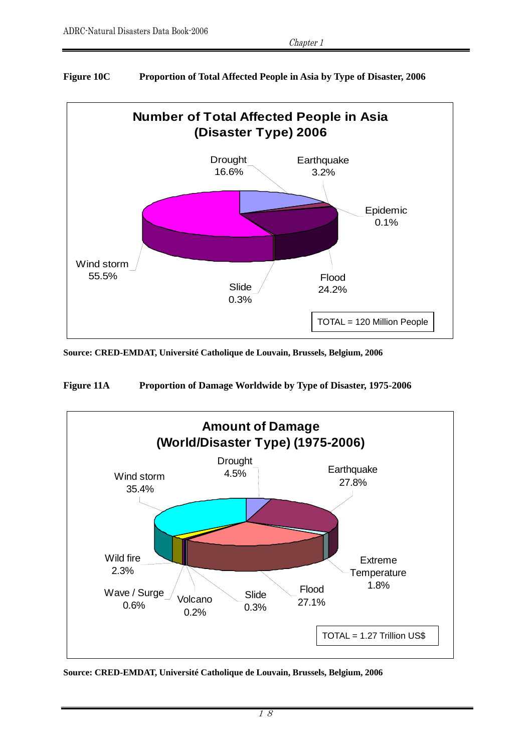

# **Figure 10C Proportion of Total Affected People in Asia by Type of Disaster, 2006**

**Source: CRED-EMDAT, Université Catholique de Louvain, Brussels, Belgium, 2006** 

**Figure 11A Proportion of Damage Worldwide by Type of Disaster, 1975-2006** 



**Source: CRED-EMDAT, Université Catholique de Louvain, Brussels, Belgium, 2006**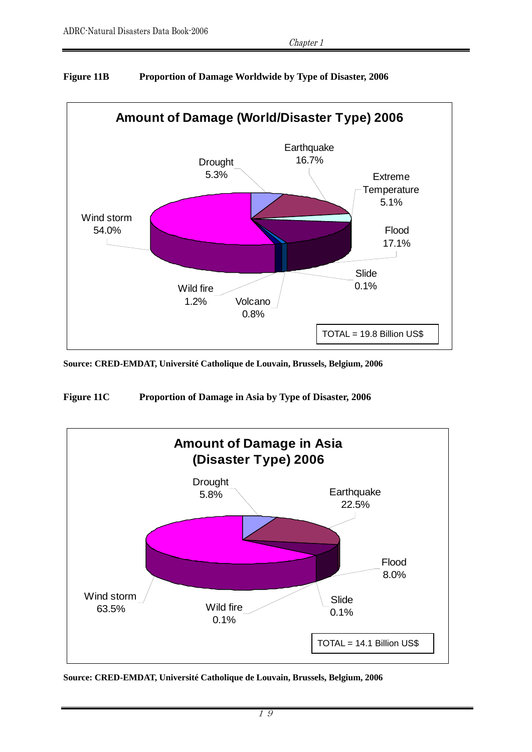

# **Figure 11B Proportion of Damage Worldwide by Type of Disaster, 2006**

**Source: CRED-EMDAT, Université Catholique de Louvain, Brussels, Belgium, 2006** 

**Figure 11C Proportion of Damage in Asia by Type of Disaster, 2006** 

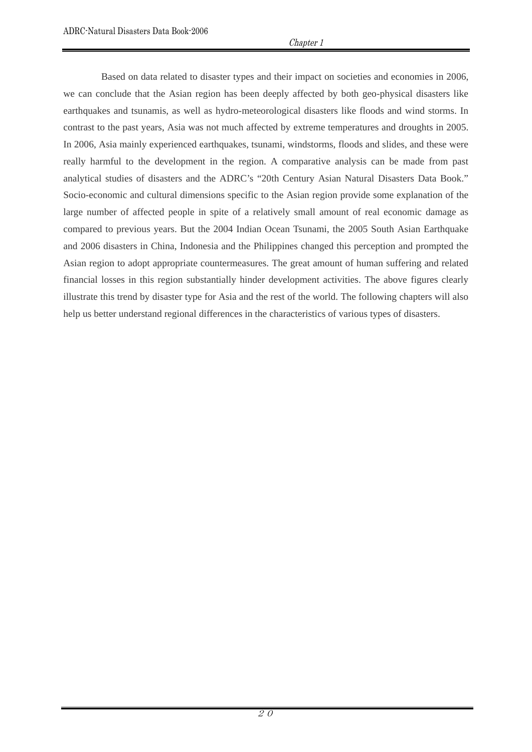Based on data related to disaster types and their impact on societies and economies in 2006, we can conclude that the Asian region has been deeply affected by both geo-physical disasters like earthquakes and tsunamis, as well as hydro-meteorological disasters like floods and wind storms. In contrast to the past years, Asia was not much affected by extreme temperatures and droughts in 2005. In 2006, Asia mainly experienced earthquakes, tsunami, windstorms, floods and slides, and these were really harmful to the development in the region. A comparative analysis can be made from past analytical studies of disasters and the ADRC's "20th Century Asian Natural Disasters Data Book." Socio-economic and cultural dimensions specific to the Asian region provide some explanation of the large number of affected people in spite of a relatively small amount of real economic damage as compared to previous years. But the 2004 Indian Ocean Tsunami, the 2005 South Asian Earthquake and 2006 disasters in China, Indonesia and the Philippines changed this perception and prompted the Asian region to adopt appropriate countermeasures. The great amount of human suffering and related financial losses in this region substantially hinder development activities. The above figures clearly illustrate this trend by disaster type for Asia and the rest of the world. The following chapters will also help us better understand regional differences in the characteristics of various types of disasters.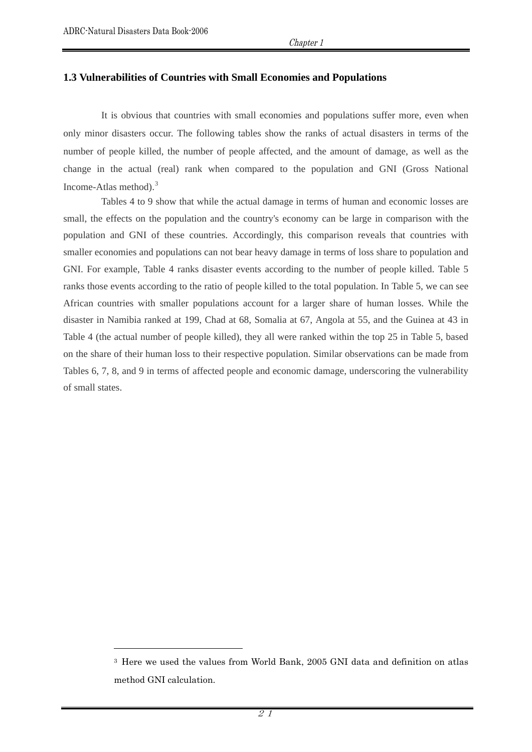$\overline{a}$ 

#### **1.3 Vulnerabilities of Countries with Small Economies and Populations**

It is obvious that countries with small economies and populations suffer more, even when only minor disasters occur. The following tables show the ranks of actual disasters in terms of the number of people killed, the number of people affected, and the amount of damage, as well as the change in the actual (real) rank when compared to the population and GNI (Gross National Income-Atlas method).[3](#page-20-0)

 Tables 4 to 9 show that while the actual damage in terms of human and economic losses are small, the effects on the population and the country's economy can be large in comparison with the population and GNI of these countries. Accordingly, this comparison reveals that countries with smaller economies and populations can not bear heavy damage in terms of loss share to population and GNI. For example, Table 4 ranks disaster events according to the number of people killed. Table 5 ranks those events according to the ratio of people killed to the total population. In Table 5, we can see African countries with smaller populations account for a larger share of human losses. While the disaster in Namibia ranked at 199, Chad at 68, Somalia at 67, Angola at 55, and the Guinea at 43 in Table 4 (the actual number of people killed), they all were ranked within the top 25 in Table 5, based on the share of their human loss to their respective population. Similar observations can be made from Tables 6, 7, 8, and 9 in terms of affected people and economic damage, underscoring the vulnerability of small states.

<span id="page-20-0"></span><sup>3</sup> Here we used the values from World Bank, 2005 GNI data and definition on atlas method GNI calculation.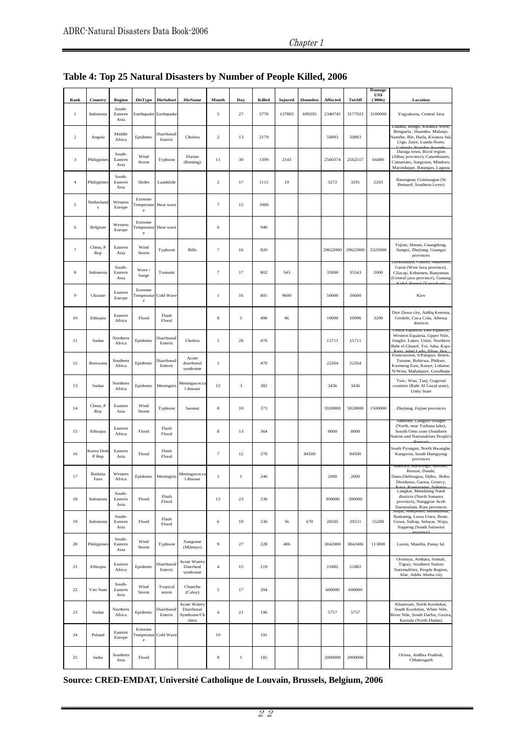#### Chapter 1

| Rank              | Country            | Region                    | <b>DisType</b>                          | <b>DisSubset</b>             | <b>DisName</b>                                     | Month            | Day          | Killed | <b>Injured</b> | Homeless | <b>Affected</b> | TotAff            | Damage<br>US\$<br>(500s) | Location                                                                                                                               |
|-------------------|--------------------|---------------------------|-----------------------------------------|------------------------------|----------------------------------------------------|------------------|--------------|--------|----------------|----------|-----------------|-------------------|--------------------------|----------------------------------------------------------------------------------------------------------------------------------------|
| $\mathbf{1}$      | Indonesia          | South-<br>Eastern<br>Asia |                                         | Earthquake Earthquake        |                                                    | 5                | 27           | 5778   | 137883         | 699295   | 2340745         | 3177923           | 3100000                  | Yogyakarta, Central Java                                                                                                               |
| $\overline{c}$    | Angola             | Middle<br>Africa          | Epidemic                                | <b>Diarrhoeal</b><br>Enteric | Cholera                                            | $\sqrt{2}$       | 13           | 2179   |                |          | 50893           | 50893             |                          | Luanda, Bengo, Kwanza Norte<br>Benguela, Huambo, Malanje,<br>Namibe, Bie, Huila, Kwanza Sul,<br>Uige, Zaire, Lunda-Norte,              |
| 3                 | Philippines        | South-<br>Eastern<br>Asia | Wind<br>Storm                           | Typhoon                      | Durian<br>(Reming)                                 | 11               | 30           | 1399   | 2143           |          | 2560374         | 2562517           | 66400                    | Daraga town, Bicol region<br>(Albay province), Catanduanes,<br>Camarines, Sorgoson, Mindoro,<br>Marinduque, Batangas, Laguna           |
| $\overline{4}$    | Philippines        | South-<br>Eastern<br>Asia | Slides                                  | Landslide                    |                                                    | $\sqrt{2}$       | 17           | 1112   | 19             |          | 3272            | 3291              | 2203                     | Baranguay Guinsaugon (St<br>Bernard, Southern Leyte)                                                                                   |
| 5                 | Netherland<br>s    | Western<br>Europe         | Extreme<br><b>Temperatur</b><br>$\rm e$ | Heat wave                    |                                                    | $\tau$           | 15           | 1000   |                |          |                 |                   |                          |                                                                                                                                        |
| 6                 | Belgium            | Western<br>Europe         | Extreme<br>Temperatur<br>$\rm e$        | Heat wave                    |                                                    | 6                |              | 940    |                |          |                 |                   |                          |                                                                                                                                        |
| $\overline{\tau}$ | China, P<br>Rep    | Eastern<br>Asia           | Wind<br>Storm                           | Typhoon                      | <b>Bilis</b>                                       | $\boldsymbol{7}$ | 16           | 820    |                |          |                 | 29622000 29622000 | 3325000                  | Fujian, Hunan, Guangdong,<br>Jiangxi, Zhejiang, Guangxi<br>provinces                                                                   |
| 8                 | Indonesia          | South-<br>Eastern<br>Asia | Wave/<br>Surge                          | Tsunami                      |                                                    | $\boldsymbol{7}$ | 17           | 802    | 543            |          | 35000           | 35543             | 2000                     | i asikmalaya, Ciamis, Sukabumi<br>Garut (West Java province),<br>Cilacap, Kebumen, Banyumas<br>(Central java province), Gunung         |
| 9                 | Ukraine            | Eastern<br>Europe         | Extreme<br>Temperatur<br>$\rm e$        | Cold Wave                    |                                                    | $\,1$            | 16           | 801    | 9600           |          | 50000           | 59600             |                          | Kiev                                                                                                                                   |
| 10                | Ethiopia           | Eastern<br>Africa         | Flood                                   | Flash<br>Flood               |                                                    | $\,$ 8 $\,$      | 5            | 498    | 96             |          | 10000           | 10096             | 3200                     | Dire Dawa city, Addiq Ketema,<br>Genfele, Coca Cola, Aftessa<br>districts                                                              |
| $1\,1$            | Sudan              | Northern<br>Africa        | Epidemic                                | Diarrhoeal<br>Enteric        | Cholera                                            | $\,1$            | 28           | 476    |                |          | 15711           | 15711             |                          | Jemai Equatria, east Equatria,<br>Western Equatria, Upper Nile,<br>Jonglei, Lakes, Unity, Northern<br>Bahr el Ghazel, Yei, Juba, Kajo- |
| 12                | Botswana           | Southern<br>Africa        | Epidemic                                | <b>Diarrhoeal</b><br>Enteric | Acute<br>diarrhoeal<br>syndrome                    | $\,1$            |              | 470    |                |          | 22264           | 22264             |                          | Francistown, S/Palapye, Boteti,<br>Tutume, Bobirwa, Phikwe,<br>Kweneng East, Kanye, Lobatse,<br>N/West, Mahalapye, Goodhope            |
| 13                | Sudan              | Northern<br>Africa        | Epidemic                                | Meningitis                   | Meningococca<br>1 disease                          | 12               | 3            | 382    |                |          | 3436            | 3436              |                          | Twic, Wau, Tanj, Gogerial<br>counties (Bahr Al Gazal state),<br><b>Unity State</b>                                                     |
| 14                | China, P<br>Rep    | Eastern<br>Asia           | Wind<br>Storm                           | Typhoon                      | Saomai                                             | 8                | 10           | 373    |                |          | 5920000         | 5920000           | 1500000                  | Zhejiang, Fujian provinces                                                                                                             |
| 15                | Ethiopia           | Eastern<br>Africa         | Flood                                   | Flash<br>Flood               |                                                    | 8                | 13           | 364    |                |          | 8000            | 8000              |                          | Amorate, Gangato villages<br>(North, near Turkana lake),<br>Souith Omo zone (Southern<br>Nation and Nationalities People's             |
| 16                | Korea Den<br>P Rep | Eastern<br>Asia           | Flood                                   | Flash<br>Flood               |                                                    | $\overline{7}$   | 12           | 278    |                | 84500    |                 | 84500             |                          | South Pyongan, North Hwanghe<br>Kangwon, South Hamgyong<br>provinces                                                                   |
| 17                | Burkina<br>Faso    | Western<br>Africa         |                                         | Epidemic Meningitis          | Meningococca<br>1 disease                          | 1                | $\mathbf{1}$ | 246    |                |          | 2000            | 2000              |                          | Bantora, Barsologo, Borono,<br>Bousse, Dande,<br>Dano, Diebougou, Djibo, Bobo-<br>Dioulasso, Gaoua, Gourcy,                            |
| 18                | Indonesia          | South-<br>Eastern<br>Asia | Flood                                   | Flash<br>Flood               |                                                    | 12               | 23           | 236    |                |          | 300000          | 300000            |                          | Langkat, Mendaling Natal<br>districts (North Sumatra<br>province), Nanggroe Aceh<br>Darussalam, Riau provinces                         |
| 19                | Indonesia          | South-<br>Eastern<br>Asia | Flood                                   | Flash<br>Flood               |                                                    | 6                | 19           | 236    | 56             | 670      | 28505           | 29231             | 55200                    | зіпјаі, теперопіо, виникишоа,<br>Bantaeng, Luwu Utara, Bone,<br>Gowa, Sidrap, Selayar, Wajo,<br>Soppeng (South Sulawesi                |
| 20                | Philippines        | South-<br>Eastern<br>Asia | Wind<br>Storm                           | Typhoon                      | Xangsane<br>(Milenyo)                              | 9                | 27           | 228    | 406            |          | 3842000         | 3842406           | 113000                   | Luzon, Manilla, Panay Isl.                                                                                                             |
| 21                | Ethiopia           | Eastern<br>Africa         | Epidemic                                | Diarrhoeal<br>Enteric        | Acute Watery<br>Diarrheal<br>syndrome              | $\overline{4}$   | 15           | 219    |                |          | 21882           | 21882             |                          | Oromiya, Amhara, Somali,<br>Tigray, Southern Nation<br>Nationalities, People Region,<br>Afar, Addis Abeba city                         |
| 22                | Viet Nam           | South-<br>Eastern<br>Asia | Wind<br>Storm                           | Tropical<br>storm            | Chanchu<br>(Caloy)                                 | 5                | 17           | 204    |                |          | 600000          | 600000            |                          |                                                                                                                                        |
| 23                | Sudan              | Northern<br>Africa        | Epidemic                                | Diarrhoeal<br>Enteric        | Acute Watery<br>Diarrhoeal<br>Syndrome/Ch<br>olera | $\overline{4}$   | 21           | 196    |                |          | 5757            | 5757              |                          | Khartoum, North Kordofan,<br>South Kordofan, White Nile,<br>River Nile, South Darfur, Gezira,<br>Kassala (North Dudan)                 |
| 24                | Poland             | Eastern<br>Europe         | Extreme<br>Temperatur<br>$\rm e$        | Cold Wave                    |                                                    | 10               |              | 191    |                |          |                 |                   |                          |                                                                                                                                        |
| 25                | India              | Southern<br>Asia          | Flood                                   |                              |                                                    | 8                | $\,1$        | 185    |                |          | 2000000         | 2000000           |                          | Orissa, Andhra Pradesh,<br>Chhattisgarh                                                                                                |

# **Table 4: Top 25 Natural Disasters by Number of People Killed, 2006**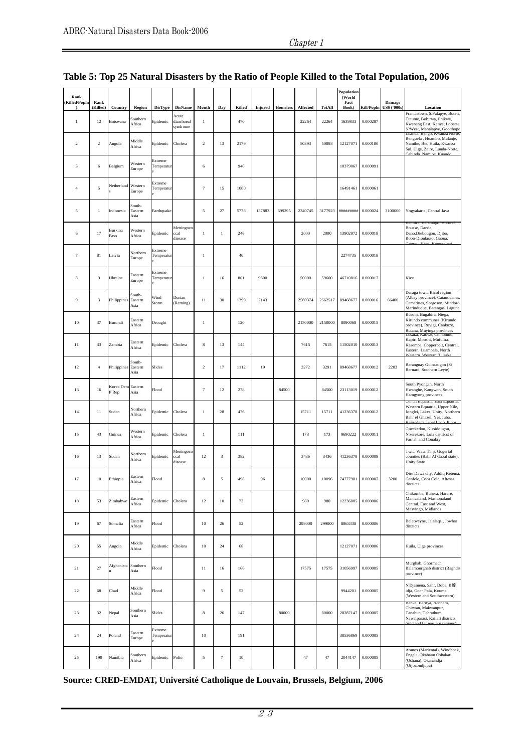| Rank<br>Killed/Popln        | Rank           |                            |                           |                       |                                 |                |              |        |                |          |          |         | Population<br>(World |          |                                   |                                                                                                                                  |
|-----------------------------|----------------|----------------------------|---------------------------|-----------------------|---------------------------------|----------------|--------------|--------|----------------|----------|----------|---------|----------------------|----------|-----------------------------------|----------------------------------------------------------------------------------------------------------------------------------|
|                             | (Killed)       | Country                    | Region                    | <b>DisType</b>        | <b>DisName</b>                  | Month          | Day          | Killed | <b>Injured</b> | Homeless | Affected | TotAff  | Fact<br>Book)        |          | Damage<br>Kill/Popln US\$ ('000s) | Location                                                                                                                         |
| 1                           | 12             | Botswana                   | Southern<br>Africa        | Epidemic              | Acute<br>diarrhoeal<br>syndrome | 1              |              | 470    |                |          | 22264    | 22264   | 1639833              | 0.000287 |                                   | Francistown, S/Palapye, Boteti,<br>Tutume, Bobirwa, Phikwe,<br>Kweneng East, Kanye, Lobatse,<br>N/West, Mahalapye, Goodhope      |
| $\overline{2}$              | $\overline{2}$ | Angola                     | Middle<br>Africa          | Epidemic              | Cholera                         | $\overline{2}$ | 13           | 2179   |                |          | 50893    | 50893   | 12127071             | 0.000180 |                                   | Luanda, Bengo, Kwanza Norte,<br>Benguela, Huambo, Malanje,<br>Namibe, Bie, Huila, Kwanza<br>Sul, Uige, Zaire, Lunda-Norte,       |
| $\ensuremath{\mathfrak{Z}}$ | 6              | Belgium                    | Western<br>Europe         | Extreme<br>Temperatur |                                 | $\,$ 6 $\,$    |              | 940    |                |          |          |         | 10379067             | 0.000091 |                                   |                                                                                                                                  |
| $\overline{4}$              | 5              | Netherland Western         | Europe                    | Extreme<br>Temperatur |                                 | $\overline{7}$ | 15           | 1000   |                |          |          |         | 16491461             | 0.000061 |                                   |                                                                                                                                  |
| -5                          | $\mathbf{1}$   | Indonesia                  | South-<br>Eastern<br>Asia | Earthquake            |                                 | 5              | 27           | 5778   | 137883         | 699295   | 2340745  | 3177923 | **********           | 0.000024 | 3100000                           | Yogyakarta, Central Java                                                                                                         |
| 6                           | 17             | Burkina<br>Faso            | Western<br>Africa         | Epidemic              | Meningoco<br>ccal<br>disease    | $\,1$          | $\mathbf{1}$ | 246    |                |          | 2000     | 2000    | 13902972             | 0.000018 |                                   | Bantora, Barsologo, Borono,<br>Bousse, Dande,<br>Dano,Diebougou, Djibo,<br>Bobo-Dioulasso, Gaoua,<br>Kaya K                      |
| $\tau$                      | 81             | Latvia                     | Northern<br>Europe        | Extreme<br>Temperatur |                                 | $\mathbf{1}$   |              | 40     |                |          |          |         | 2274735              | 0.000018 |                                   |                                                                                                                                  |
| 8                           | 9              | Ukraine                    | Eastern<br>Europe         | Extreme<br>Temperatur |                                 | $\mathbf{1}$   | 16           | 801    | 9600           |          | 50000    | 59600   | 46710816             | 0.000017 |                                   | Kiev                                                                                                                             |
| 9                           | 3              | Philippines                | South-<br>Eastern<br>Asia | Wind<br>Storm         | Durian<br>(Reming)              | 11             | 30           | 1399   | 2143           |          | 2560374  | 2562517 | 89468677             | 0.000016 | 66400                             | Daraga town, Bicol region<br>Albay province), Catanduanes<br>Camarines, Sorgoson, Mindoro<br>Marinduque, Batangas, Laguna        |
| 10                          | 37             | Burundi                    | Eastern<br>Africa         | Drought               |                                 | $\mathbf{1}$   |              | 120    |                |          | 2150000  | 2150000 | 8090068              | 0.000015 |                                   | Busoni, Bugabira, Ntega,<br>Kirundo communes (Kirundo<br>province), Ruyigi, Cankuzo,<br>Rutana, Muyinga provinces                |
| 11                          | 33             | Zambia                     | Eastern<br>Africa         | Epidemic              | Cholera                         | $\bf 8$        | 13           | 144    |                |          | 7615     | 7615    | 11502010             | 0.000013 |                                   | пуака – Каі<br>Kapiri Mposhi, Mufulira,<br>Kasempa, Copperbelt, Central,<br>Eastern, Luampala, North                             |
| 12                          | $\overline{4}$ | Philippines                | South-<br>Eastern<br>Asia | Slides                |                                 | $\sqrt{2}$     | 17           | 1112   | 19             |          | 3272     | 3291    | 89468677             | 0.000012 | 2203                              | Baranguay Guinsaugon (St<br>Bernard, Southern Leyte)                                                                             |
| 13                          | 16             | Korea Dem Eastern<br>P Rep | Asia                      | Flood                 |                                 | $\tau$         | 12           | 278    |                | 84500    |          | 84500   | 23113019             | 0.000012 |                                   | South Pyongan, North<br>Hwanghe, Kangwon, South<br>Hamgyong provinces                                                            |
| 14                          | 11             | Sudan                      | Northern<br>Africa        | Epidemic              | Cholera                         | $\mathbf{1}$   | 28           | 476    |                |          | 15711    | 15711   | 41236378             | 0.000012 |                                   | entai Equatria, East Equatria,<br>Western Equatria, Upper Nile,<br>Jonglei, Lakes, Unity, Northern<br>Bahr el Ghazel, Yei, Juba, |
| 15                          | 43             | Guinea                     | Western<br>Africa         | Epidemic              | Cholera                         | $\,1$          |              | 111    |                |          | 173      | 173     | 9690222              | 0.000011 |                                   | Gueckedou, Kissidougou,<br>N'zerekore, Lola districst of<br>Farnah and Conakry                                                   |
| 16                          | 13             | Sudan                      | Northern<br>Africa        | Epidemic              | Meningoco<br>ccal<br>disease    | 12             | 3            | 382    |                |          | 3436     | 3436    | 41236378             | 0.000009 |                                   | Twic, Wau, Tanj, Gogerial<br>counties (Bahr Al Gazal state),<br><b>Unity State</b>                                               |
| 17                          | 10             | Ethiopia                   | Eastern<br>Africa         | Flood                 |                                 | $\bf 8$        | 5            | 498    | 96             |          | 10000    | 10096   | 74777981             | 0.000007 | 3200                              | Dire Dawa city, Addiq Ketema,<br>Genfele, Coca Cola, Aftessa<br>districts                                                        |
| 18                          | 53             | Zimbabwe                   | Eastern<br>Africa         | Epidemic              | Cholera                         | 12             | 10           | 73     |                |          | 980      | 980     | 12236805             | 0.000006 |                                   | Chikomba, Buhera, Harare,<br>Manicaland, Mashonaland<br>Central, East and West,<br>Masvingo, Midlands                            |
| 19                          | 67             | Somalia                    | Eastern<br>Africa         | Flood                 |                                 | $10\,$         | 26           | 52     |                |          | 299000   | 299000  | 8863338              | 0.000006 |                                   | Beletweyne, Jalalaqsi, Jowhar<br>districts                                                                                       |
| 20                          | 55             | Angola                     | Middle<br>Africa          | Epidemic              | Cholera                         | $10\,$         | 24           | 68     |                |          |          |         | 12127071             | 0.000006 |                                   | Huila, Uige provinces                                                                                                            |
| 21                          | 27             | Afghanista                 | Southern<br>Asia          | Flood                 |                                 | 11             | 16           | 166    |                |          | 17575    | 17575   | 31056997             | 0.000005 |                                   | Murghab, Ghormach,<br>Balamourghab district (Baghdis<br>province)                                                                |
| $22\,$                      | 68             | Chad                       | Middle<br>Africa          | Flood                 |                                 | 9              | 5            | 52     |                |          |          |         | 9944201              | 0.000005 |                                   | N'Djamena, Sahr, Doba, B饕<br>idja, Gor · Pala, Kouma<br>(Western and Southwestern)                                               |
| $23\,$                      | 32             | Nepal                      | Southern<br>Asia          | Slides                |                                 | $\bf 8$        | 26           | 147    |                | 80000    |          | 80000   | 28287147             | 0.000005 |                                   | sanke, Baruya, Acnnam,<br>Chitwan, Makwanpur,<br>Tanahun, Tehrathum,<br>Nawalparasi, Kailali districts                           |
| 24                          | 24             | Poland                     | Eastern<br>Europe         | Extreme<br>Temperatur |                                 | $10\,$         |              | 191    |                |          |          |         | 38536869             | 0.000005 |                                   |                                                                                                                                  |
| 25                          | 199            | Namibia                    | Southern<br>Africa        | Epidemic              | Polio                           | 5              | $\tau$       | $10\,$ |                |          | 47       | 47      | 2044147              | 0.000005 |                                   | Aranos (Mariental), Windhoek,<br>Engela, Okahaon Oshakati<br>(Oshana), Okahandja<br>Otjozondjupa)                                |

# **Table 5: Top 25 Natural Disasters by the Ratio of People Killed to the Total Population, 2006**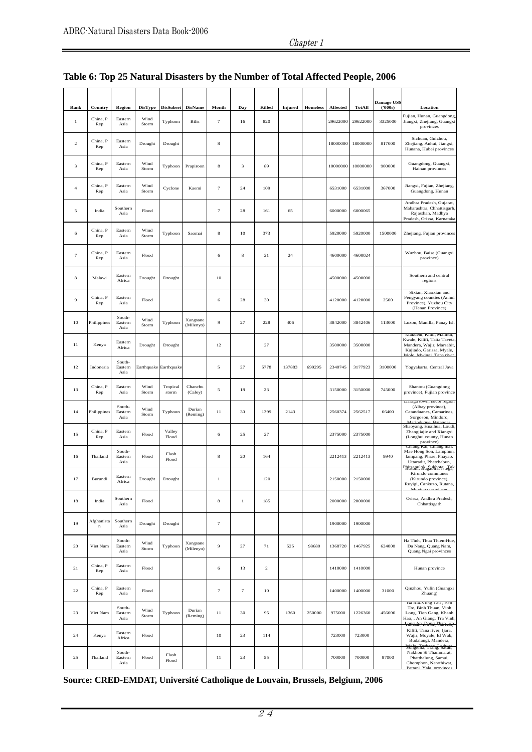#### Chapter 1

| Rank             | Country                  | <b>Region</b>             | <b>DisType</b> | <b>DisSubset</b>           | <b>DisName</b>        | Month            | Day    | Killed         | <b>Injured</b> | Homeless | Affected | TotAff   | Damage US\$<br>('000s) | Location                                                                                                                        |
|------------------|--------------------------|---------------------------|----------------|----------------------------|-----------------------|------------------|--------|----------------|----------------|----------|----------|----------|------------------------|---------------------------------------------------------------------------------------------------------------------------------|
| $\,$ 1           | China, P<br>Rep          | Eastern<br>Asia           | Wind<br>Storm  | Typhoon                    | <b>Bilis</b>          | $\tau$           | 16     | 820            |                |          | 29622000 | 29622000 | 3325000                | Fujian, Hunan, Guangdong,<br>Jiangxi, Zhejiang, Guangxi<br>provinces                                                            |
| $\,2$            | China, P<br>Rep          | Eastern<br>Asia           | Drought        | Drought                    |                       | $\bf8$           |        |                |                |          | 18000000 | 18000000 | 817000                 | Sichuan, Guizhou,<br>Zhejiang, Anhui, Jiangxi,<br>Hunana, Hubei provinces                                                       |
| 3                | China, P<br>Rep          | Eastern<br>Asia           | Wind<br>Storm  | Typhoon                    | Prapiroon             | $\bf8$           | 3      | 89             |                |          | 10000000 | 10000000 | 900000                 | Guangdong, Guangxi,<br>Hainan provinces                                                                                         |
| $\overline{4}$   | China, P<br>Rep          | Eastern<br>Asia           | Wind<br>Storm  | Cyclone                    | Kaemi                 | $\tau$           | 24     | 109            |                |          | 6531000  | 6531000  | 367000                 | Jiangxi, Fujian, Zhejiang,<br>Guangdong, Hunan                                                                                  |
| 5                | India                    | Southern<br>Asia          | Flood          |                            |                       | $\boldsymbol{7}$ | 28     | 161            | 65             |          | 6000000  | 6000065  |                        | Andhra Pradesh, Gujarat,<br>Maharashtra, Chhattisgarh<br>Rajasthan, Madhya<br>Pradesh, Orissa, Karnataka                        |
| 6                | China, P<br>Rep          | Eastern<br>Asia           | Wind<br>Storm  | Typhoon                    | Saomai                | $\bf8$           | 10     | 373            |                |          | 5920000  | 5920000  | 1500000                | Zhejiang, Fujian provinces                                                                                                      |
| $\tau$           | China, P<br>Rep          | Eastern<br>Asia           | Flood          |                            |                       | 6                | 8      | 21             | 24             |          | 4600000  | 4600024  |                        | Wuzhou, Baise (Guangxi<br>province)                                                                                             |
| 8                | Malawi                   | Eastern<br>Africa         | Drought        | Drought                    |                       | 10               |        |                |                |          | 4500000  | 4500000  |                        | Southern and central<br>regions                                                                                                 |
| $\boldsymbol{9}$ | China, P<br>Rep          | Eastern<br>Asia           | Flood          |                            |                       | 6                | 28     | 30             |                |          | 4120000  | 4120000  | 2500                   | Sixian, Xiaoxian and<br>Fengyang counties (Anhui<br>Province), Yuzhou City<br>(Henan Province)                                  |
| 10               | Philippines              | South-<br>Eastern<br>Asia | Wind<br>Storm  | Typhoon                    | Xangsane<br>(Milenyo) | 9                | 27     | 228            | 406            |          | 3842000  | 3842406  | 113000                 | Luzon, Manilla, Panay Isl                                                                                                       |
| $1\,1$           | Kenya                    | Eastern<br>Africa         | Drought        | Drought                    |                       | 12               |        | 27             |                |          | 3500000  | 3500000  |                        | макиет, киш, машил,<br>Kwale, Kilifi, Taita Taveta<br>Mandera, Wajir, Marsabit<br>Kajiado, Garissa, Myale,                      |
| 12               | Indonesia                | South-<br>Eastern<br>Asia |                | Earthquake Earthquake      |                       | 5                | 27     | 5778           | 137883         | 699295   | 2340745  | 3177923  | 3100000                | Yogyakarta, Central Java                                                                                                        |
| 13               | China, P<br>$_{\rm Rep}$ | Eastern<br>Asia           | Wind<br>Storm  | Tropical<br>$_{\rm storm}$ | Chanchu<br>(Caloy)    | 5                | 18     | 23             |                |          | 3150000  | 3150000  | 745000                 | Shantou (Guangdong<br>province), Fujian province                                                                                |
| 14               | Philippines              | South-<br>Eastern<br>Asia | Wind<br>Storm  | Typhoon                    | Durian<br>(Reming)    | 11               | 30     | 1399           | 2143           |          | 2560374  | 2562517  | 66400                  | Daraga town, Bicol region<br>(Albay province),<br>Catanduanes, Camarines,<br>Sorgoson, Mindoro,<br>Jarinduque Reter             |
| 15               | China, P<br>Rep          | Eastern<br>Asia           | Flood          | Valley<br>Flood            |                       | 6                | 25     | 27             |                |          | 2375000  | 2375000  |                        | Shaoyang, Huaihua, Loudi<br>Zhangjiajie and Xiangxi<br>(Longhui county, Hunan<br>province)                                      |
| 16               | Thailand                 | South-<br>Eastern<br>Asia | Flood          | Flash<br>Flood             |                       | 8                | 20     | 164            |                |          | 2212413  | 2212413  | 9940                   | Cmang Rai, Cmang mai,<br>Mae Hong Son, Lamphun,<br>lampang, Phrae, Phayao,<br>Uttaradit, Phetchabun,<br>Busom, Bugabira, Niega, |
| 17               | Burundi                  | Eastern<br>Africa         | Drought        | Drought                    |                       | $\,1$            |        | 120            |                |          | 2150000  | 2150000  |                        | Kirundo communes<br>(Kirundo province),<br>Ruyigi, Cankuzo, Rutana,                                                             |
| 18               | India                    | Southern<br>Asia          | Flood          |                            |                       | $\bf8$           | $\,1$  | 185            |                |          | 2000000  | 2000000  |                        | Orissa, Andhra Pradesh,<br>Chhattisgarh                                                                                         |
| 19               | Afghanista<br>$\bf n$    | Southern<br>Asia          | Drought        | Drought                    |                       | $\tau$           |        |                |                |          | 1900000  | 1900000  |                        |                                                                                                                                 |
| 20               | Viet Nam                 | South-<br>Eastern<br>Asia | Wind<br>Storm  | Typhoon                    | Xangsane<br>(Milenyo) | 9                | 27     | 71             | 525            | 98680    | 1368720  | 1467925  | 624000                 | Ha Tinh, Thua Thien-Hue,<br>Da Nang, Quang Nam,<br>Quang Ngai provinces                                                         |
| 21               | China, P<br>Rep          | Eastern<br>Asia           | Flood          |                            |                       | 6                | 13     | $\overline{c}$ |                |          | 1410000  | 1410000  |                        | Hunan province                                                                                                                  |
| $\bf{22}$        | China, P<br>$_{\rm Rep}$ | Eastern<br>Asia           | Flood          |                            |                       | $\tau$           | $\tau$ | 10             |                |          | 1400000  | 1400000  | 31000                  | Qinzhou, Yulin (Guangxi<br>Zhuang)                                                                                              |
| 23               | Viet Nam                 | South-<br>Eastern<br>Asia | Wind<br>Storm  | Typhoon                    | Durian<br>(Reming)    | 11               | 30     | 95             | 1360           | 250000   | 975000   | 1226360  | 456000                 | ba Kia-vung rau, ben<br>Tre, Binh Thuan, Vinh<br>Long, Tien Gang, Khanh<br>Hao,, An Giang, Tra Vinh<br>Loasade, Roare, Chanssa, |
| 24               | Kenya                    | Eastern<br>Africa         | Flood          |                            |                       | 10               | 23     | 114            |                |          | 723000   | 723000   |                        | Kilifi, Tana river, Ijara,<br>Wajir, Moyale, El Wak,<br>Budalangi, Mandera,                                                     |
| 25               | Thailand                 | South-<br>Eastern<br>Asia | Flood          | Flash<br>Flood             |                       | 11               | 23     | 55             |                |          | 700000   | 700000   | 97000                  | Söngkma, rrang, Satum,<br>Nakhon Si Thammarat,<br>Phatthalung, Samui,<br>Chomphon, Narathiwat,                                  |

# **Table 6: Top 25 Natural Disasters by the Number of Total Affected People, 2006**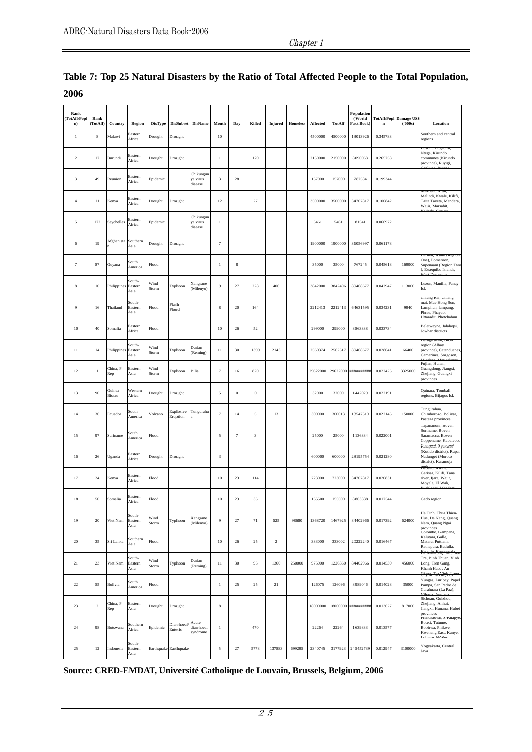| Rank<br>TotAff/Popl<br>n) | Rank<br>TotAff)  | Country                 | Region                    | <b>DisType</b> | DisSubset DisName     |                                  | Month        | Day              | Killed   |        | Injured Homeless | Affected | <b>TotAff</b> | Population<br>(World<br><b>Fact Book</b> | $\mathbf n$ | <b>TotAff/Popl Damage US\$</b><br>(5000s) | Location                                                                                                         |
|---------------------------|------------------|-------------------------|---------------------------|----------------|-----------------------|----------------------------------|--------------|------------------|----------|--------|------------------|----------|---------------|------------------------------------------|-------------|-------------------------------------------|------------------------------------------------------------------------------------------------------------------|
| $1\,$                     | $\bf8$           | Malawi                  | Eastern<br>Africa         | Drought        | Drought               |                                  | 10           |                  |          |        |                  | 4500000  | 4500000       | 13013926                                 | 0.345783    |                                           | Southern and central<br>regions                                                                                  |
| $\overline{2}$            | 17               | Burundi                 | Eastern<br>Africa         | Drought        | Drought               |                                  | $\,1\,$      |                  | 120      |        |                  | 2150000  | 2150000       | 8090068                                  | 0.265758    |                                           | Ntega, Kirundo<br>communes (Kirundo<br>province), Ruyigi,                                                        |
| $_{\rm 3}$                | 49               | Reunion                 | Eastern<br>Africa         | Epidemic       |                       | Chikungun<br>ya virus<br>disease | 3            | $\sqrt{28}$      |          |        |                  | 157000   | 157000        | 787584                                   | 0.199344    |                                           |                                                                                                                  |
| $\overline{4}$            | $1\,1$           | Kenya                   | Eastern<br>Africa         | Drought        | Drought               |                                  | 12           |                  | 27       |        |                  | 3500000  | 3500000       | 34707817                                 | 0.100842    |                                           | Malindi, Kwale, Kilifi.<br>Taita Taveta, Mandera<br>Wajir, Marsabit,                                             |
| 5                         | 172              | Seychelles              | Eastern<br>Africa         | Epidemic       |                       | Chikungun<br>ya virus<br>disease | $\mathbf{1}$ |                  |          |        |                  | 5461     | 5461          | 81541                                    | 0.066972    |                                           |                                                                                                                  |
| 6                         | 19               | Afghanista Southern     | Asia                      | Drought        | Drought               |                                  | $\tau$       |                  |          |        |                  | 1900000  | 1900000       | 31056997                                 | 0.061178    |                                           |                                                                                                                  |
| 7                         | 87               | Guyana                  | South<br>America          | Flood          |                       |                                  | $\mathbf{1}$ | 8                |          |        |                  | 35000    | 35000         | 767245                                   | 0.045618    | 169000                                    | irima, waini (regio<br>One), Pomeroon,<br>Supenaam (Region Two<br>), Essequibo Islands,                          |
| 8                         | 10               | Philippines Eastern     | South-<br>Asia            | Wind<br>Storm  | Typhoon               | Xangsane<br>(Milenyo)            | 9            | $27\,$           | 228      | 406    |                  | 3842000  | 3842406       | 89468677                                 | 0.042947    | 113000                                    | Luzon, Manilla, Panay<br>Isl.                                                                                    |
| 9                         | 16               | Thailand                | South-<br>Eastern<br>Asia | Flood          | Flash<br>Flood        |                                  | $\bf8$       | $20\,$           | 164      |        |                  | 2212413  | 2212413       | 64631595                                 | 0.034231    | 9940                                      | Chiang Rai, Chiang<br>mai, Mae Hong Son,<br>Lamphun, lampang,<br>Phrae, Phayao,                                  |
| 10                        | 40               | Somalia                 | Eastern<br>Africa         | Flood          |                       |                                  | 10           | 26               | 52       |        |                  | 299000   | 299000        | 8863338                                  | 0.033734    |                                           | Beletweyne, Jalalaqsi,<br>Jowhar districts                                                                       |
| 11                        | 14               | Philippines Eastern     | South-<br>Asia            | Wind<br>Storm  | Typhoon               | Durian<br>(Reming)               | 11           | 30               | 1399     | 2143   |                  | 2560374  | 2562517       | 89468677                                 | 0.028641    | 66400                                     | Daraga town, BICO<br>region (Albay<br>province), Catanduane:<br>Camarines, Sorgoson,                             |
| 12                        | $\mathbf{1}$     | China, P<br>Rep         | Eastern<br>Asia           | Wind<br>Storm  | Typhoon               | <b>Bilis</b>                     | $\tau$       | 16               | 820      |        |                  | 29622000 | 29622000      | ##########                               | 0.022425    | 3325000                                   | Fujian, Hunan,<br>Guangdong, Jiangxi,<br>Zhejiang, Guangxi<br>provinces                                          |
| 13                        | 90               | Guinea<br><b>Bissau</b> | Western<br>Africa         | Drought        | Drought               |                                  | 5            | $\boldsymbol{0}$ | $\bf{0}$ |        |                  | 32000    | 32000         | 1442029                                  | 0.022191    |                                           | Quinara, Tombali<br>regions, Bijagos Isl.                                                                        |
| 14                        | 36               | Ecuador                 | South<br>America          | Volcano        | Explosive<br>Eruption | Tungurahu                        | $\tau$       | 14               | 5        | 13     |                  | 300000   | 300013        | 13547510                                 | 0.022145    | 150000                                    | Tungurahua,<br>Chimborozo, Bolivar,<br>Pastaza provinces                                                         |
| 15                        | 97               | Suriname                | South<br>America          | Flood          |                       |                                  | 5            | $\tau$           | 3        |        |                  | 25000    | 25000         | 1136334                                  | 0.022001    |                                           | I apananom, Bover<br>Suriname, Boven<br>Saramacca, Boven<br>Coppename, Kabalebo<br><del>Kanapani, Nyakwael</del> |
| 16                        | 26               | <b>Jganda</b>           | Eastern<br>Africa         | Drought        | Drought               |                                  | $\sqrt{3}$   |                  |          |        |                  | 600000   | 600000        | 28195754                                 | 0.021280    |                                           | (Kotido district), Rupa<br>Nadunget (Moroto<br>district), Karamoja<br>Dabaan, Kwaie                              |
| 17                        | 24               | Kenya                   | Eastern<br>Africa         | Flood          |                       |                                  | $10\,$       | 23               | 114      |        |                  | 723000   | 723000        | 34707817                                 | 0.020831    |                                           | Garissa, Kilifi, Tana<br>river, Ijara, Wajir,<br>Moyale, El Wak,                                                 |
| 18                        | 50               | Somalia                 | Eastern<br>Africa         | Flood          |                       |                                  | 10           | 23               | 35       |        |                  | 155500   | 155500        | 8863338                                  | 0.017544    |                                           | Gedo region                                                                                                      |
| 19                        | 20               | Viet Nam                | South-<br>Eastern<br>Asia | Wind<br>Storm  | Typhoon               | Xangsane<br>(Milenyo)            | 9            | $27\,$           | 71       | 525    | 98680            | 1368720  | 1467925       | 84402966                                 | 0.017392    | 624000                                    | Ha Tinh, Thua Thien-<br>Hue, Da Nang, Quang<br>Nam, Quang Ngai<br>provinces                                      |
| 20                        | 35               | Sri Lanka               | Southern<br>Asia          | Flood          |                       |                                  | 10           | 26               | 25       | $\,2$  |                  | 333000   | 333002        | 20222240                                 | 0.016467    |                                           | oiompo, Gampana<br>Kalutara, Galle,<br>Matara, Puttlam,<br>Ratnapura, Badulla,                                   |
| 21                        | 23               | Viet Nam                | south-<br>Eastern<br>Asia | Wind<br>Storm  | Typhoon               | Durian<br>(Reming)               | 11           | 30               | 95       | 1360   | 250000           | 975000   | 1226360       | 84402966                                 | 0.014530    | 456000                                    | <del>Kanelle vYng rau i Ben</del><br>Tre, Binh Thuan, Vinh<br>Long, Tien Gang,<br>Khanh Hao, , An                |
| $22\,$                    | 55               | Bolivia                 | South<br>America          | Flood          |                       |                                  | $1\,$        | 25               | 25       | 21     |                  | 126075   | 126096        | 8989046                                  | 0.014028    | 35000                                     | City or Ea Paz, Los<br>Yungas, Luribay, Papel<br>Pampa, San Pedro de<br>Curahuara (La Paz),                      |
| 23                        | $\,2$            | China, P<br>Rep         | Eastern<br>Asia           | Drought        | Drought               |                                  | $\bf8$       |                  |          |        |                  | 18000000 |               | 18000000 ##########                      | 0.013627    | 817000                                    | Sichuan, Guizhou,<br>Zhejiang, Anhui,<br>Jiangxi, Hunana, Hubei<br>provinces                                     |
| 24                        | 98               | Botswana                | Southern<br>Africa        | Epidemic       | Diarrhoeal<br>Enteric | Acute<br>diarrhoeal<br>syndrome  | $\,1\,$      |                  | 470      |        |                  | 22264    | 22264         | 1639833                                  | 0.013577    |                                           | rrancistown, S/Palapy<br>Boteti, Tutume,<br>Bobirwa, Phikwe,<br>Kweneng East, Kanye,<br>MT/MT                    |
| 25                        | $12\phantom{.0}$ | Indonesia               | South-<br>Eastern<br>Asia |                | Earthquake Earthquake |                                  | 5            | 27               | 5778     | 137883 | 699295           | 2340745  | 3177923       | 245452739                                | 0.012947    | 3100000                                   | Yogyakarta, Central<br>Java                                                                                      |

**Table 7: Top 25 Natural Disasters by the Ratio of Total Affected People to the Total Population, 2006**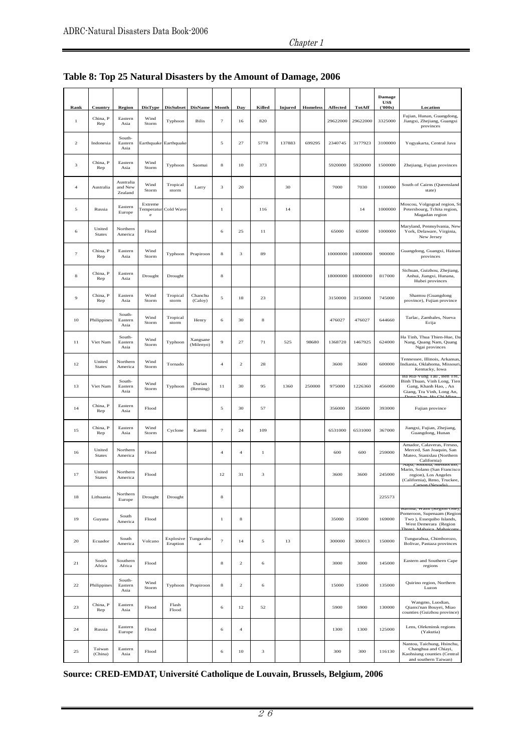#### Chapter 1

| Rank                      | Country                 | <b>Region</b>                   | <b>DisType</b>        | <b>DisSubset</b>            | <b>DisName</b>        | Month          | Day              | Killed | <b>Injured</b> | <b>Homeless</b> | Affected | TotAff   | <b>Damage</b><br>US\$<br>(5000s) | Location                                                                                                                           |
|---------------------------|-------------------------|---------------------------------|-----------------------|-----------------------------|-----------------------|----------------|------------------|--------|----------------|-----------------|----------|----------|----------------------------------|------------------------------------------------------------------------------------------------------------------------------------|
| $\,1$                     | China, P<br>Rep         | Eastern<br>Asia                 | Wind<br>Storm         | Typhoon                     | <b>Bilis</b>          | $\tau$         | 16               | 820    |                |                 | 29622000 | 29622000 | 3325000                          | Fujian, Hunan, Guangdong,<br>Jiangxi, Zhejiang, Guangxi<br>provinces                                                               |
| $\,2$                     | Indonesia               | South-<br>Eastern<br>Asia       |                       | Earthquake Earthquake       |                       | 5              | 27               | 5778   | 137883         | 699295          | 2340745  | 3177923  | 3100000                          | Yogyakarta, Central Java                                                                                                           |
| $\ensuremath{\mathbf{3}}$ | China, P<br>Rep         | Eastern<br>Asia                 | Wind<br>Storm         | Typhoon                     | Saomai                | 8              | 10               | 373    |                |                 | 5920000  | 5920000  | 1500000                          | Zhejiang, Fujian provinces                                                                                                         |
| $\overline{4}$            | Australia               | Australia<br>and New<br>Zealand | Wind<br>Storm         | Tropical<br>storm           | Larry                 | 3              | 20               |        | 30             |                 | 7000     | 7030     | 1100000                          | South of Cairns (Queensland<br>state)                                                                                              |
| 5                         | Russia                  | Eastern<br>Europe               | Extreme<br>$_{\rm e}$ | <b>Temperatur Cold Wave</b> |                       | $\,1$          |                  | 116    | 14             |                 |          | 14       | 1000000                          | Moscou, Volgograd region, St<br>Petersbourg, Tchita region,<br>Magadan region                                                      |
| 6                         | United<br><b>States</b> | Northern<br>America             | Flood                 |                             |                       | 6              | 25               | $1\,1$ |                |                 | 65000    | 65000    | 1000000                          | Maryland, Pennsylvania, New<br>York, Delaware, Virginia,<br>New Jersey                                                             |
| $\overline{7}$            | China, P<br>Rep         | Eastern<br>Asia                 | Wind<br>Storm         | Typhoon                     | Prapiroon             | 8              | 3                | 89     |                |                 | 10000000 | 10000000 | 900000                           | Guangdong, Guangxi, Hainan<br>provinces                                                                                            |
| $\bf8$                    | China, P<br>Rep         | Eastern<br>Asia                 | Drought               | Drought                     |                       | 8              |                  |        |                |                 | 18000000 | 18000000 | 817000                           | Sichuan, Guizhou, Zhejiang,<br>Anhui, Jiangxi, Hunana,<br>Hubei provinces                                                          |
| 9                         | China, P<br>Rep         | Eastern<br>Asia                 | Wind<br>Storm         | Tropical<br>storm           | Chanchu<br>(Caloy)    | 5              | 18               | 23     |                |                 | 3150000  | 3150000  | 745000                           | Shantou (Guangdong<br>province), Fujian province                                                                                   |
| 10                        | Philippines             | South-<br>Eastern<br>Asia       | Wind<br>Storm         | Tropical<br>storm           | Henry                 | 6              | 30               | $\bf8$ |                |                 | 476027   | 476027   | 644660                           | Tarlac, Zambales, Nueva<br>Ecija                                                                                                   |
| 11                        | Viet Nam                | South-<br>Eastern<br>Asia       | Wind<br>Storm         | Typhoon                     | Xangsane<br>(Milenyo) | 9              | 27               | 71     | 525            | 98680           | 1368720  | 1467925  | 624000                           | Ha Tinh, Thua Thien-Hue, Da<br>Nang, Quang Nam, Quang<br>Ngai provinces                                                            |
| 12                        | United<br><b>States</b> | Northern<br>America             | Wind<br>Storm         | Tornado                     |                       | $\overline{4}$ | $\,2$            | 28     |                |                 | 3600     | 3600     | 600000                           | Tennessee, Illinois, Arkansas<br>Indiania, Oklahoma, Missouri,<br>Kentucky, Iowa                                                   |
| 13                        | Viet Nam                | South-<br>Eastern<br>Asia       | Wind<br>Storm         | Typhoon                     | Durian<br>(Reming)    | $1\,1$         | 30               | 95     | 1360           | 250000          | 975000   | 1226360  | 456000                           | Ba Kia-Vung Tau, Ben Tre,<br>Binh Thuan, Vinh Long, Tien<br>Gang, Khanh Hao, , An<br>Giang, Tra Vinh, Long An,                     |
| 14                        | China, P<br>Rep         | Eastern<br>Asia                 | Flood                 |                             |                       | 5              | 30               | 57     |                |                 | 356000   | 356000   | 393000                           | Fujian province                                                                                                                    |
| 15                        | China, P<br>Rep         | Eastern<br>Asia                 | Wind<br>Storm         | Cyclone                     | Kaemi                 | $\tau$         | 24               | 109    |                |                 | 6531000  | 6531000  | 367000                           | Jiangxi, Fujian, Zhejiang,<br>Guangdong, Hunan                                                                                     |
| 16                        | United<br><b>States</b> | Northern<br>America             | Flood                 |                             |                       | $\overline{4}$ | $\ensuremath{4}$ | 1      |                |                 | 600      | 600      | 259000                           | Amador, Calaveras, Fresno,<br>Merced, San Joaquin, San<br>Mateo, Stanislau (Northern<br>California)                                |
| 17                        | United<br><b>States</b> | Northern<br>America             | Flood                 |                             |                       | 12             | 31               | 3      |                |                 | 3600     | 3600     | 245000                           | Napa, Sonoma, Mendocino,<br>Marin, Solano (San Francisco<br>region), Los Angeles<br>(California), Reno, Truckee,<br>Carson (Navada |
| 18                        | Lithuania               | Northern<br>Europe              | Drought               | Drought                     |                       | 8              |                  |        |                |                 |          |          | 225573                           |                                                                                                                                    |
| 19                        | Guyana                  | South<br>America                | Flood                 |                             |                       | $\,$ 1         | $\bf8$           |        |                |                 | 35000    | 35000    | 169000                           | Barima, Waini (Region One),<br>Pomeroon, Supenaam (Region<br>Two), Essequibo Islands,<br>West Demerara (Region<br>Mah              |
| 20                        | Ecuador                 | South<br>America                | Volcano               | Explosive<br>Eruption       | Tungurahu<br>$\rm{a}$ | $\overline{7}$ | 14               | 5      | 13             |                 | 300000   | 300013   | 150000                           | Tungurahua, Chimborozo,<br>Bolivar, Pastaza provinces                                                                              |
| 21                        | South<br>Africa         | Southern<br>Africa              | Flood                 |                             |                       | 8              | $\overline{c}$   | 6      |                |                 | 3000     | 3000     | 145000                           | Eastern and Southern Cape<br>regions                                                                                               |
| 22                        | Philippines             | South-<br>Eastern<br>Asia       | Wind<br>Storm         | Typhoon                     | Prapiroon             | 8              | $\,2$            | 6      |                |                 | 15000    | 15000    | 135000                           | Quirino region, Northern<br>Luzon                                                                                                  |
| 23                        | China, P<br>Rep         | Eastern<br>Asia                 | Flood                 | Flash<br>Flood              |                       | 6              | 12               | 52     |                |                 | 5900     | 5900     | 130000                           | Wangmo, Luodian,<br>Qianxi'nan Bouyei, Miao<br>counties (Guizhou province)                                                         |
| 24                        | Russia                  | Eastern<br>Europe               | Flood                 |                             |                       | 6              | $\ensuremath{4}$ |        |                |                 | 1300     | 1300     | 125000                           | Lens, Olekminsk regions<br>(Yakutia)                                                                                               |
| 25                        | Taiwan<br>(China)       | Eastern<br>Asia                 | Flood                 |                             |                       | 6              | 10               | 3      |                |                 | 300      | 300      | 116130                           | Nantou, Taichung, Hsinchu,<br>Changhua and Chiayi,<br>Kaohsiung counties (Central<br>and southern Taiwan)                          |

# **Table 8: Top 25 Natural Disasters by the Amount of Damage, 2006**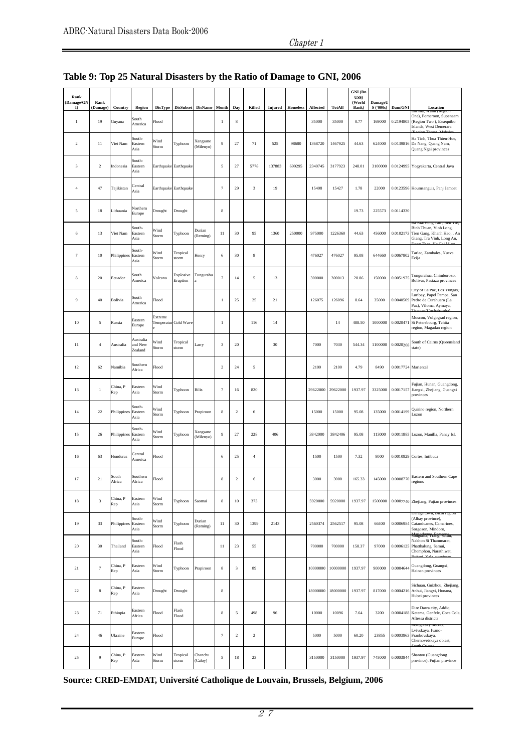#### Chapter 1

| Rank<br>(Damage/GN<br>D. | Rank<br>(Damage) | Country             | Region                          |                                 |                       | DisType DisSubset DisName Month |                   | Day                       | Killed                    | Injured | Homeless | Affected | TotAff   | GNI (Bn<br>US\$)<br>(World<br>Bank) | DamageU<br>S ('000s) | Dam/GNI             | Location                                                                                                                  |
|--------------------------|------------------|---------------------|---------------------------------|---------------------------------|-----------------------|---------------------------------|-------------------|---------------------------|---------------------------|---------|----------|----------|----------|-------------------------------------|----------------------|---------------------|---------------------------------------------------------------------------------------------------------------------------|
| $\mathbf{1}$             | 19               | Guyana              | South<br>America                | Flood                           |                       |                                 | $\mathbf{1}$      | $\bf8$                    |                           |         |          | 35000    | 35000    | 0.77                                | 169000               | 0.2194805           | vann (regio<br>One), Pomeroon, Supenaam<br>(Region Two), Essequibo<br>Islands, West Demerara                              |
| $\overline{2}$           | 11               | Viet Nam            | South-<br>Eastern<br>Asia       | Wind<br>Storm                   | Typhoon               | Xangsane<br>(Milenyo)           | $\overline{9}$    | 27                        | 71                        | 525     | 98680    | 1368720  | 1467925  | 44.63                               | 624000               |                     | Ha Tinh, Thua Thien-Hue,<br>0.0139816 Da Nang, Quang Nam,<br>Quang Ngai provinces                                         |
| 3                        | $\overline{2}$   | Indonesia           | South-<br>Eastern<br>Asia       | Earthquake Earthquake           |                       |                                 | 5                 | 27                        | 5778                      | 137883  | 699295   | 2340745  | 3177923  | 248.01                              | 3100000              |                     | 0.0124995 Yogyakarta, Central Java                                                                                        |
| $\overline{4}$           | 47               | Tajikistan          | Central<br>Asia                 | Earthquake Earthquake           |                       |                                 | $\overline{7}$    | 29                        | $\ensuremath{\mathbf{3}}$ | 19      |          | 15408    | 15427    | 1.78                                | 22000                |                     | 0.0123596 Koumsanguir, Panj Jamoat                                                                                        |
| 5                        | 18               | Lithuania           | Northern<br>Europe              | Drought                         | Drought               |                                 | $\,$ 8 $\,$       |                           |                           |         |          |          |          | 19.73                               | 225573               | 0.0114330           |                                                                                                                           |
| $\,6\,$                  | 13               | Viet Nam            | South-<br>Eastern<br>Asia       | Wind<br>Storm                   | Typhoon               | Durian<br>(Reming)              | 11                | 30                        | 95                        | 1360    | 250000   | 975000   | 1226360  | 44.63                               | 456000               |                     | Ba Kia-Vung 1au , Ben 1re,<br>Binh Thuan, Vinh Long,<br>0.0102173 Tien Gang, Khanh Hao, , An<br>Giang, Tra Vinh, Long An, |
| $\scriptstyle{7}$        | $10\,$           | Philippines Eastern | South-<br>Asia                  | Wind<br>Storm                   | Tropical<br>storm     | Henry                           | 6                 | 30                        | $\bf 8$                   |         |          | 476027   | 476027   | 95.08                               | 644660               | 0.0067802           | Tarlac, Zambales, Nueva<br>Ecija                                                                                          |
| $\,$ 8 $\,$              | 20               | Ecuador             | South<br>America                | Volcano                         | Explosive<br>Eruption | Tungurahu                       | $\overline{7}$    | 14                        | 5                         | 13      |          | 300000   | 300013   | 28.86                               | 150000               | 0.0051975           | Tungurahua, Chimborozo,<br>Bolivar, Pastaza provinces                                                                     |
| 9                        | 40               | Bolivia             | South<br>America                | Flood                           |                       |                                 | $\mathbf{1}$      | 25                        | 25                        | 21      |          | 126075   | 126096   | 8.64                                | 35000                | 0.0040509           | ity of La Paz, Los 1 unga<br>Luribay, Papel Pampa, San<br>Pedro de Curahuara (La<br>Paz), Viloma, Aymaya,                 |
| $10\,$                   | 5                | Russia              | Eastern<br>Europe               | Extreme<br>Temperatur Cold Wave |                       |                                 | $\mathbf{1}$      |                           | 116                       | 14      |          |          | 14       | 488.50                              | 1000000              | 0.0020471           | Moscou, Volgograd region,<br>St Petersbourg, Tchita<br>region, Magadan region                                             |
| 11                       | $\overline{4}$   | Australia           | Australia<br>and New<br>Zealand | Wind<br>Storm                   | Tropical<br>storm     | Larry                           | 3                 | 20                        |                           | 30      |          | 7000     | 7030     | 544.34                              | 1100000              | 0.0020208           | South of Cairns (Queensland<br>state)                                                                                     |
| 12                       | 62               | Namibia             | Southern<br>Africa              | Flood                           |                       |                                 | $\overline{2}$    | 24                        | 5                         |         |          | 2100     | 2100     | 4.79                                | 8490                 | 0.0017724 Mariental |                                                                                                                           |
| 13                       | $\,1$            | China, P<br>Rep     | Eastern<br>Asia                 | Wind<br>Storm                   | Typhoon               | <b>Bilis</b>                    | $\scriptstyle{7}$ | 16                        | 820                       |         |          | 29622000 | 29622000 | 1937.97                             | 3325000              |                     | Fujian, Hunan, Guangdong,<br>0.0017157 Jiangxi, Zhejiang, Guangxi<br>provinces                                            |
| 14                       | 22               | Philippines         | South-<br>Eastern<br>Asia       | Wind<br>Storm                   | Typhoon               | Prapiroon                       | 8                 | $\overline{2}$            | 6                         |         |          | 15000    | 15000    | 95.08                               | 135000               | 0.0014199           | Quirino region, Northern<br>Luzon                                                                                         |
| 15                       | 26               | Philippines         | South-<br>Eastern<br>Asia       | Wind<br>Storm                   | Typhoon               | Xangsane<br>(Milenyo)           | 9                 | 27                        | 228                       | 406     |          | 3842000  | 3842406  | 95.08                               | 113000               |                     | 0.0011885 Luzon, Manilla, Panay Isl.                                                                                      |
| 16                       | 63               | Honduras            | Central<br>America              | Flood                           |                       |                                 | 6                 | 25                        | $\overline{4}$            |         |          | 1500     | 1500     | 7.32                                | 8000                 |                     | 0.0010929 Cortes, Intibuca                                                                                                |
| 17                       | 21               | South<br>Africa     | Southern<br>Africa              | Flood                           |                       |                                 | 8                 | $\overline{c}$            | 6                         |         |          | 3000     | 3000     | 165.33                              | 145000               | 0.0008770           | Eastern and Southern Cape<br>regions                                                                                      |
| 18                       | $\mathbf{3}$     | China, P<br>Rep     | Eastern<br>Asia                 | Wind<br>Storm                   | Typhoon               | Saomai                          | $\,$ 8 $\,$       | $10\,$                    | 373                       |         |          | 5920000  | 5920000  | 1937.97                             | 1500000              |                     | 0.0007740 Zhejiang, Fujian provinces                                                                                      |
| 19                       | 33               | Philippines Eastern | South-<br>Asia                  | Wind<br>Storm                   | Typhoon               | Durian<br>(Reming)              | 11                | 30                        | 1399                      | 2143    |          | 2560374  | 2562517  | 95.08                               | 66400                |                     | лагада town, втеот гедюп<br>(Albay province),<br>0.0006984 Catanduanes, Camarines,<br>Sorgoson, Mindoro,                  |
| 20                       | 30               | Thailand            | South-<br>Eastern<br>Asia       | Flood                           | Flash<br>Flood        |                                 | $11$              | 23                        | 55                        |         |          | 700000   | 700000   | 158.37                              | 97000                |                     | <del>Marinduary ralig, saam,</del><br>Nakhon Si Thammarat,<br>0.0006125 Phatthalung, Samui,<br>Chomphon, Narathiwat,      |
| 21                       | $\tau$           | China, P<br>Rep     | Eastern<br>Asia                 | Wind<br>Storm                   | Typhoon               | Prapiroon                       | $\,$ 8 $\,$       | $\ensuremath{\mathbf{3}}$ | 89                        |         |          | 10000000 | 10000000 | 1937.97                             | 900000               | 0.0004644           | Guangdong, Guangxi,<br>Hainan provinces                                                                                   |
| 22                       | $\,$ 8 $\,$      | China, P<br>Rep     | Eastern<br>Asia                 | Drought                         | Drought               |                                 | 8                 |                           |                           |         |          | 18000000 | 18000000 | 1937.97                             | 817000               |                     | Sichuan, Guizhou, Zhejiang,<br>0.0004216 Anhui, Jiangxi, Hunana,<br>Hubei provinces                                       |
| 23                       | 71               | Ethiopia            | Eastern<br>Africa               | Flood                           | Flash<br>Flood        |                                 | $\,$ 8 $\,$       | 5                         | 498                       | 96      |          | 10000    | 10096    | 7.64                                | 3200                 |                     | Dire Dawa city, Addiq<br>0.0004188 Ketema, Genfele, Coca Cola,<br>Aftessa districts                                       |
| 24                       | 46               | Ukraine             | Eastern<br>Europe               | Flood                           |                       |                                 | $\tau$            | $\,2\,$                   | $\overline{2}$            |         |          | 5000     | 5000     | 60.20                               | 23855                | 0.0003963           | belogorský ulstrict,<br>Lvivskaya, Ivano-<br>Frankovskaya,<br>Chernovetskaya oblast,                                      |
| $25\,$                   | $\boldsymbol{9}$ | China, P<br>Rep     | Eastern<br>Asia                 | Wind<br>Storm                   | Tropical<br>storm     | Chanchu<br>(Caloy)              | 5                 | $18\,$                    | 23                        |         |          | 3150000  | 3150000  | 1937.97                             | 745000               | 0.0003844           | Shantou (Guangdong<br>province), Fujian province                                                                          |

# **Table 9: Top 25 Natural Disasters by the Ratio of Damage to GNI, 2006**